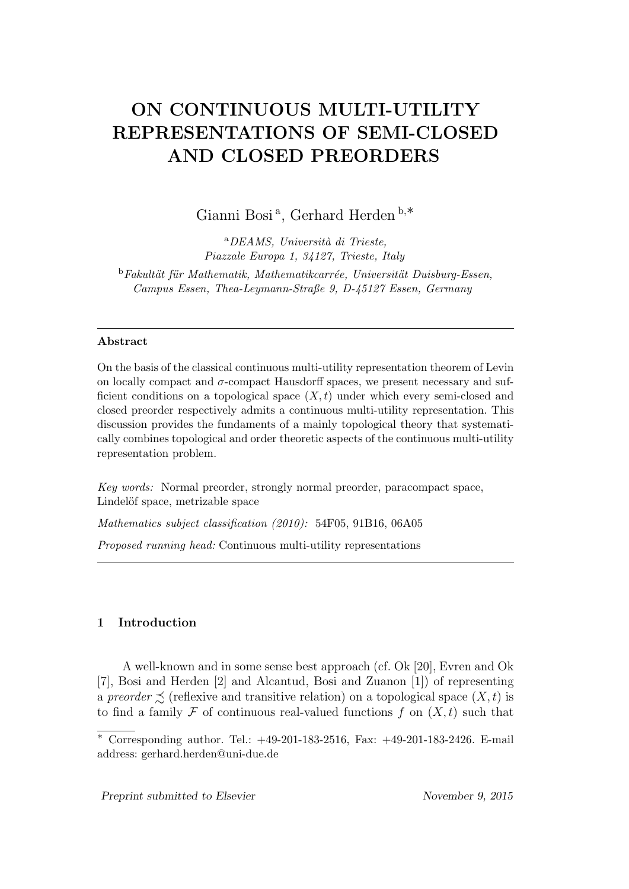# **ON CONTINUOUS MULTI-UTILITY REPRESENTATIONS OF SEMI-CLOSED AND CLOSED PREORDERS**

Gianni Bosi <sup>a</sup> , Gerhard Herden <sup>b</sup>*,∗*

<sup>a</sup>*DEAMS, Universit`a di Trieste, Piazzale Europa 1, 34127, Trieste, Italy* <sup>b</sup>Fakultät für Mathematik, Mathematikcarrée, Universität Duisburg-Essen, *Campus Essen, Thea-Leymann-Straße 9, D-45127 Essen, Germany*

### **Abstract**

On the basis of the classical continuous multi-utility representation theorem of Levin on locally compact and *σ*-compact Hausdorff spaces, we present necessary and sufficient conditions on a topological space  $(X, t)$  under which every semi-closed and closed preorder respectively admits a continuous multi-utility representation. This discussion provides the fundaments of a mainly topological theory that systematically combines topological and order theoretic aspects of the continuous multi-utility representation problem.

*Key words:* Normal preorder, strongly normal preorder, paracompact space, Lindelöf space, metrizable space

*Mathematics subject classification (2010):* 54F05, 91B16, 06A05

*Proposed running head:* Continuous multi-utility representations

# **1 Introduction**

A well-known and in some sense best approach (cf. Ok [20], Evren and Ok [7], Bosi and Herden [2] and Alcantud, Bosi and Zuanon [1]) of representing a *preorder*  $\leq$  (reflexive and transitive relation) on a topological space  $(X, t)$  is to find a family  $\mathcal F$  of continuous real-valued functions  $f$  on  $(X, t)$  such that

*Preprint submitted to Elsevier November 9, 2015*

*<sup>∗</sup>* Corresponding author. Tel.: +49-201-183-2516, Fax: +49-201-183-2426. E-mail address: gerhard.herden@uni-due.de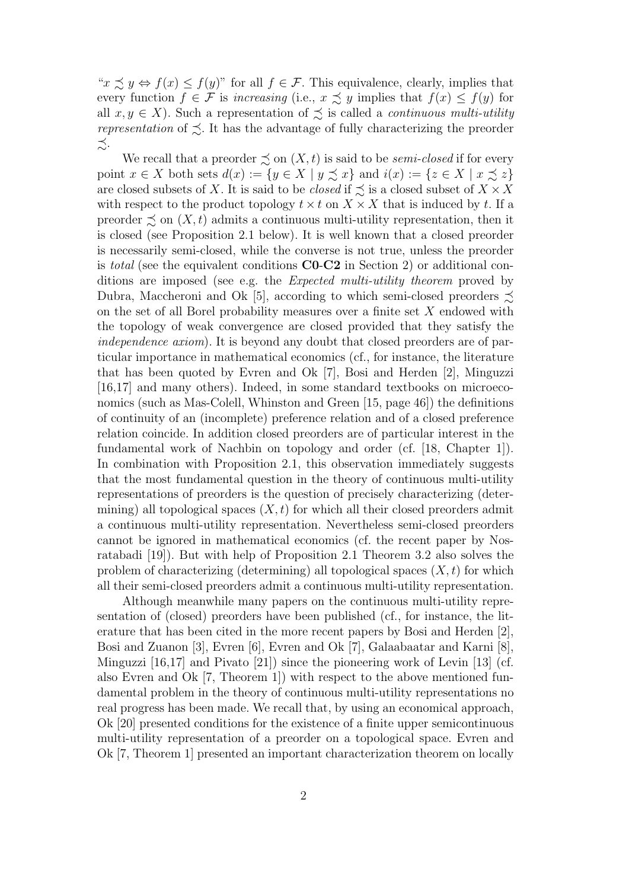" $x \preceq y \Leftrightarrow f(x) \leq f(y)$ " for all  $f \in \mathcal{F}$ . This equivalence, clearly, implies that every function  $f \in \mathcal{F}$  is *increasing* (i.e.,  $x \precsim y$  implies that  $f(x) \leq f(y)$  for all  $x, y \in X$ ). Such a representation of  $\precsim$  is called a *continuous multi-utility representation* of  $\leq$ . It has the advantage of fully characterizing the preorder  $\precsim$ .

We recall that a preorder  $\precsim$  on  $(X, t)$  is said to be *semi-closed* if for every point  $x \in X$  both sets  $d(x) := \{y \in X \mid y \precsim x\}$  and  $i(x) := \{z \in X \mid x \precsim z\}$ are closed subsets of *X*. It is said to be *closed* if  $\preceq$  is a closed subset of  $X \times X$ with respect to the product topology  $t \times t$  on  $X \times X$  that is induced by *t*. If a preorder  $\precsim$  on  $(X, t)$  admits a continuous multi-utility representation, then it is closed (see Proposition 2.1 below). It is well known that a closed preorder is necessarily semi-closed, while the converse is not true, unless the preorder is *total* (see the equivalent conditions **C0**-**C2** in Section 2) or additional conditions are imposed (see e.g. the *Expected multi-utility theorem* proved by Dubra, Maccheroni and Ok [5], according to which semi-closed preorders  $\preceq$ on the set of all Borel probability measures over a finite set *X* endowed with the topology of weak convergence are closed provided that they satisfy the *independence axiom*). It is beyond any doubt that closed preorders are of particular importance in mathematical economics (cf., for instance, the literature that has been quoted by Evren and Ok [7], Bosi and Herden [2], Minguzzi [16,17] and many others). Indeed, in some standard textbooks on microeconomics (such as Mas-Colell, Whinston and Green [15, page 46]) the definitions of continuity of an (incomplete) preference relation and of a closed preference relation coincide. In addition closed preorders are of particular interest in the fundamental work of Nachbin on topology and order (cf. [18, Chapter 1]). In combination with Proposition 2.1, this observation immediately suggests that the most fundamental question in the theory of continuous multi-utility representations of preorders is the question of precisely characterizing (determining) all topological spaces  $(X, t)$  for which all their closed preorders admit a continuous multi-utility representation. Nevertheless semi-closed preorders cannot be ignored in mathematical economics (cf. the recent paper by Nosratabadi [19]). But with help of Proposition 2.1 Theorem 3.2 also solves the problem of characterizing (determining) all topological spaces  $(X, t)$  for which all their semi-closed preorders admit a continuous multi-utility representation.

Although meanwhile many papers on the continuous multi-utility representation of (closed) preorders have been published (cf., for instance, the literature that has been cited in the more recent papers by Bosi and Herden [2], Bosi and Zuanon [3], Evren [6], Evren and Ok [7], Galaabaatar and Karni [8], Minguzzi [16,17] and Pivato [21]) since the pioneering work of Levin [13] (cf. also Evren and Ok [7, Theorem 1]) with respect to the above mentioned fundamental problem in the theory of continuous multi-utility representations no real progress has been made. We recall that, by using an economical approach, Ok [20] presented conditions for the existence of a finite upper semicontinuous multi-utility representation of a preorder on a topological space. Evren and Ok [7, Theorem 1] presented an important characterization theorem on locally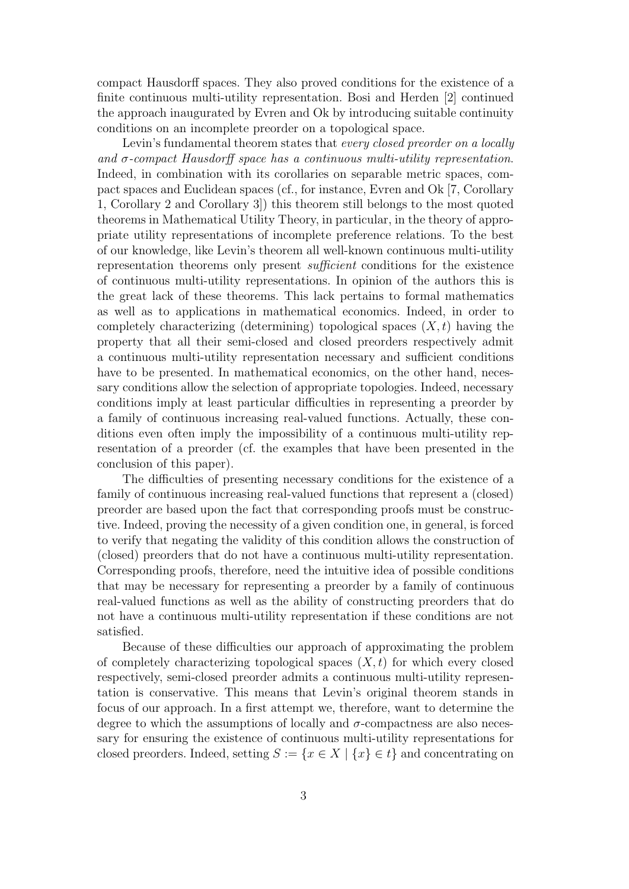compact Hausdorff spaces. They also proved conditions for the existence of a finite continuous multi-utility representation. Bosi and Herden [2] continued the approach inaugurated by Evren and Ok by introducing suitable continuity conditions on an incomplete preorder on a topological space.

Levin's fundamental theorem states that *every closed preorder on a locally and σ-compact Hausdorff space has a continuous multi-utility representation*. Indeed, in combination with its corollaries on separable metric spaces, compact spaces and Euclidean spaces (cf., for instance, Evren and Ok [7, Corollary 1, Corollary 2 and Corollary 3]) this theorem still belongs to the most quoted theorems in Mathematical Utility Theory, in particular, in the theory of appropriate utility representations of incomplete preference relations. To the best of our knowledge, like Levin's theorem all well-known continuous multi-utility representation theorems only present *sufficient* conditions for the existence of continuous multi-utility representations. In opinion of the authors this is the great lack of these theorems. This lack pertains to formal mathematics as well as to applications in mathematical economics. Indeed, in order to completely characterizing (determining) topological spaces  $(X, t)$  having the property that all their semi-closed and closed preorders respectively admit a continuous multi-utility representation necessary and sufficient conditions have to be presented. In mathematical economics, on the other hand, necessary conditions allow the selection of appropriate topologies. Indeed, necessary conditions imply at least particular difficulties in representing a preorder by a family of continuous increasing real-valued functions. Actually, these conditions even often imply the impossibility of a continuous multi-utility representation of a preorder (cf. the examples that have been presented in the conclusion of this paper).

The difficulties of presenting necessary conditions for the existence of a family of continuous increasing real-valued functions that represent a (closed) preorder are based upon the fact that corresponding proofs must be constructive. Indeed, proving the necessity of a given condition one, in general, is forced to verify that negating the validity of this condition allows the construction of (closed) preorders that do not have a continuous multi-utility representation. Corresponding proofs, therefore, need the intuitive idea of possible conditions that may be necessary for representing a preorder by a family of continuous real-valued functions as well as the ability of constructing preorders that do not have a continuous multi-utility representation if these conditions are not satisfied.

Because of these difficulties our approach of approximating the problem of completely characterizing topological spaces (*X, t*) for which every closed respectively, semi-closed preorder admits a continuous multi-utility representation is conservative. This means that Levin's original theorem stands in focus of our approach. In a first attempt we, therefore, want to determine the degree to which the assumptions of locally and  $\sigma$ -compactness are also necessary for ensuring the existence of continuous multi-utility representations for closed preorders. Indeed, setting  $S := \{x \in X \mid \{x\} \in t\}$  and concentrating on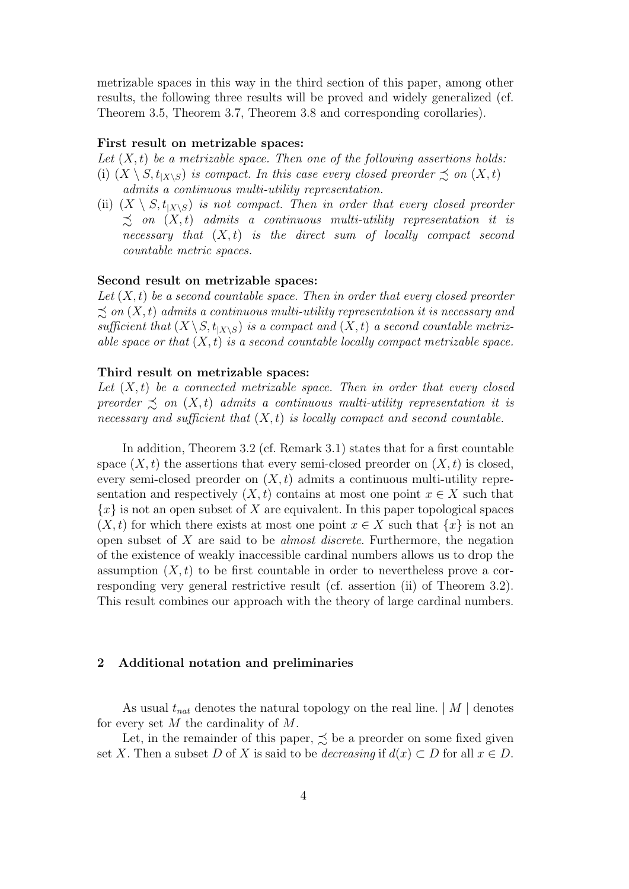metrizable spaces in this way in the third section of this paper, among other results, the following three results will be proved and widely generalized (cf. Theorem 3.5, Theorem 3.7, Theorem 3.8 and corresponding corollaries).

#### **First result on metrizable spaces:**

*Let* (*X, t*) *be a metrizable space. Then one of the following assertions holds:*

- (i)  $(X \setminus S, t_{|X \setminus S})$  *is compact. In this case every closed preorder*  $\precsim$  *on*  $(X, t)$ *admits a continuous multi-utility representation.*
- (ii)  $(X \setminus S, t_{X \setminus S})$  *is not compact. Then in order that every closed preorder*  $\leq$  *on*  $(X,t)$  *admits a continuous multi-utility representation it is necessary that* (*X, t*) *is the direct sum of locally compact second countable metric spaces.*

#### **Second result on metrizable spaces:**

*Let* (*X, t*) *be a second countable space. Then in order that every closed preorder*  $\preceq$  *on*  $(X, t)$  *admits a continuous multi-utility representation it is necessary and* sufficient that  $(X \setminus S, t_{X \setminus S})$  is a compact and  $(X, t)$  a second countable metriz*able space or that* (*X, t*) *is a second countable locally compact metrizable space.*

#### **Third result on metrizable spaces:**

*Let* (*X, t*) *be a connected metrizable space. Then in order that every closed preorder*  $\leq$  *on*  $(X, t)$  *admits a continuous multi-utility representation it is necessary and sufficient that* (*X, t*) *is locally compact and second countable.*

In addition, Theorem 3.2 (cf. Remark 3.1) states that for a first countable space  $(X, t)$  the assertions that every semi-closed preorder on  $(X, t)$  is closed, every semi-closed preorder on  $(X, t)$  admits a continuous multi-utility representation and respectively  $(X, t)$  contains at most one point  $x \in X$  such that  ${x}$  is not an open subset of *X* are equivalent. In this paper topological spaces  $(X, t)$  for which there exists at most one point  $x \in X$  such that  $\{x\}$  is not an open subset of *X* are said to be *almost discrete*. Furthermore, the negation of the existence of weakly inaccessible cardinal numbers allows us to drop the assumption  $(X, t)$  to be first countable in order to nevertheless prove a corresponding very general restrictive result (cf. assertion (ii) of Theorem 3.2). This result combines our approach with the theory of large cardinal numbers.

#### **2 Additional notation and preliminaries**

As usual  $t_{nat}$  denotes the natural topology on the real line.  $|M|$  denotes for every set *M* the cardinality of *M*.

Let, in the remainder of this paper,  $\precsim$  be a preorder on some fixed given set *X*. Then a subset *D* of *X* is said to be *decreasing* if  $d(x) \subset D$  for all  $x \in D$ .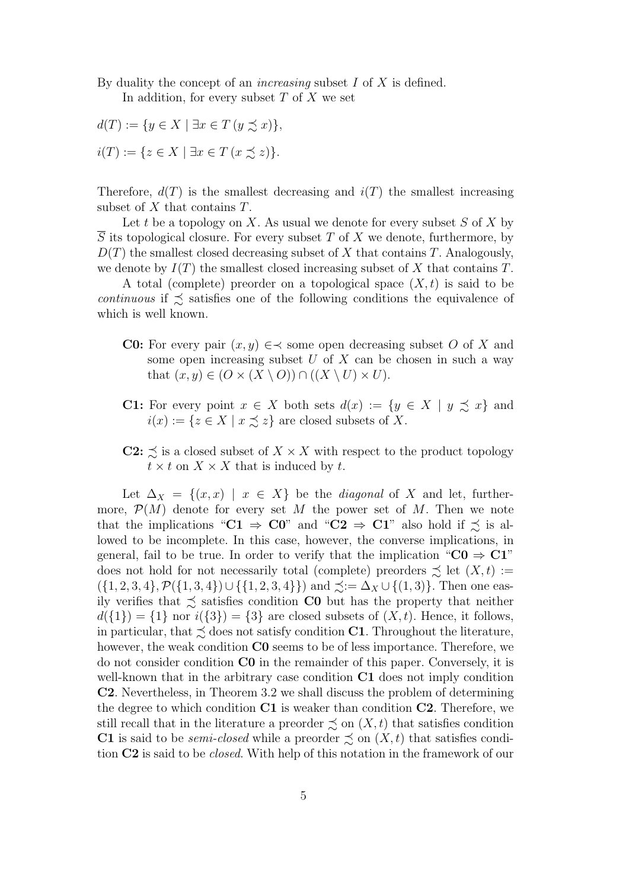By duality the concept of an *increasing* subset *I* of *X* is defined.

In addition, for every subset *T* of *X* we set

$$
d(T) := \{ y \in X \mid \exists x \in T \ (y \preceq x) \},
$$
  

$$
i(T) := \{ z \in X \mid \exists x \in T \ (x \preceq z) \}.
$$

Therefore,  $d(T)$  is the smallest decreasing and  $i(T)$  the smallest increasing subset of *X* that contains *T*.

Let *t* be a topology on *X*. As usual we denote for every subset *S* of *X* by *S* its topological closure. For every subset *T* of *X* we denote, furthermore, by *D*(*T*) the smallest closed decreasing subset of *X* that contains *T*. Analogously, we denote by  $I(T)$  the smallest closed increasing subset of X that contains T.

A total (complete) preorder on a topological space  $(X, t)$  is said to be *continuous* if  $\leq$  satisfies one of the following conditions the equivalence of which is well known.

- **C0:** For every pair  $(x, y) \in \n\prec$  some open decreasing subset *O* of *X* and some open increasing subset *U* of *X* can be chosen in such a way that  $(x, y) \in (O \times (X \setminus O)) \cap ((X \setminus U) \times U)$ .
- **C1:** For every point  $x \in X$  both sets  $d(x) := \{y \in X \mid y \precsim x\}$  and  $i(x) := \{z \in X \mid x \preceq z\}$  are closed subsets of *X*.
- **C2:**  $\precsim$  is a closed subset of  $X \times X$  with respect to the product topology  $t \times t$  on  $X \times X$  that is induced by *t*.

Let  $\Delta_X = \{(x, x) \mid x \in X\}$  be the *diagonal* of X and let, furthermore,  $\mathcal{P}(M)$  denote for every set *M* the power set of *M*. Then we note that the implications " $C1 \Rightarrow CO$ " and " $C2 \Rightarrow C1$ " also hold if  $\preceq$  is allowed to be incomplete. In this case, however, the converse implications, in general, fail to be true. In order to verify that the implication " $CO \Rightarrow C1$ " does not hold for not necessarily total (complete) preorders  $\precsim$  let  $(X, t) :=$  $(\{1, 2, 3, 4\}, \mathcal{P}(\{1, 3, 4\}) \cup \{\{1, 2, 3, 4\}\})$  and  $\preceq := \Delta_X \cup \{(1, 3)\}.$  Then one easily verifies that  $\leq$  satisfies condition **C0** but has the property that neither  $d({1}) = {1}$  nor  $i({3}) = {3}$  are closed subsets of  $(X, t)$ . Hence, it follows, in particular, that  $\leq$  does not satisfy condition **C1**. Throughout the literature, however, the weak condition **C0** seems to be of less importance. Therefore, we do not consider condition **C0** in the remainder of this paper. Conversely, it is well-known that in the arbitrary case condition **C1** does not imply condition **C2**. Nevertheless, in Theorem 3.2 we shall discuss the problem of determining the degree to which condition **C1** is weaker than condition **C2**. Therefore, we still recall that in the literature a preorder  $\precsim$  on  $(X, t)$  that satisfies condition **C1** is said to be *semi-closed* while a preorder  $\precsim$  on  $(X, t)$  that satisfies condition **C2** is said to be *closed*. With help of this notation in the framework of our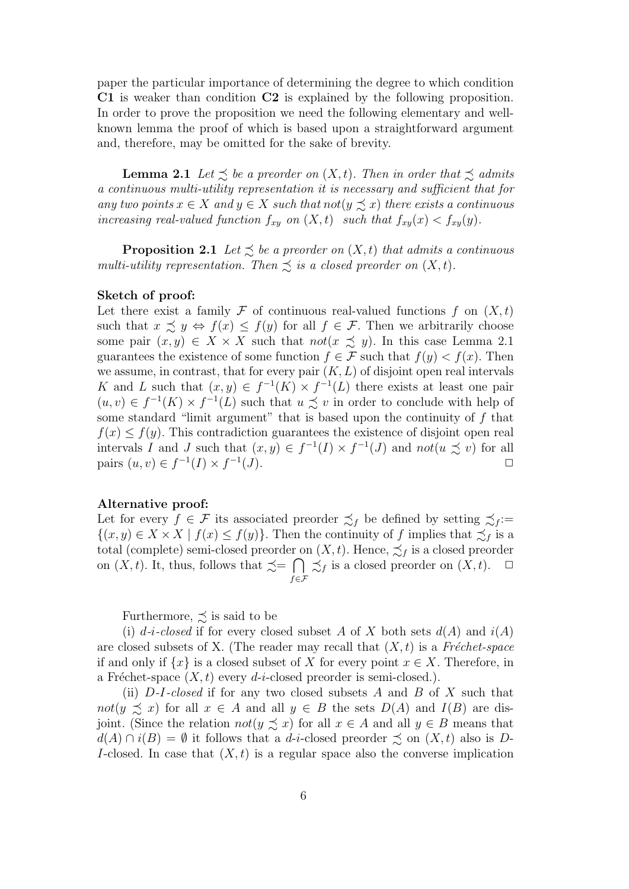paper the particular importance of determining the degree to which condition **C1** is weaker than condition **C2** is explained by the following proposition. In order to prove the proposition we need the following elementary and wellknown lemma the proof of which is based upon a straightforward argument and, therefore, may be omitted for the sake of brevity.

**Lemma 2.1** *Let*  $\leq$  *be a preorder on*  $(X,t)$ *. Then in order that*  $\leq$  *admits a continuous multi-utility representation it is necessary and sufficient that for any two points*  $x \in X$  *and*  $y \in X$  *such that*  $not(y ≤ x)$  *there exists a continuous increasing real-valued function*  $f_{xy}$  *on*  $(X, t)$  *such that*  $f_{xy}(x) < f_{xy}(y)$ *.* 

**Proposition 2.1** *Let*  $\leq$  *be a preorder on*  $(X, t)$  *that admits a continuous multi-utility representation. Then*  $\precsim$  *is a closed preorder on*  $(X, t)$ *.* 

#### **Sketch of proof:**

Let there exist a family  $\mathcal F$  of continuous real-valued functions  $f$  on  $(X,t)$ such that  $x \precsim y \Leftrightarrow f(x) \leq f(y)$  for all  $f \in \mathcal{F}$ . Then we arbitrarily choose some pair  $(x, y) \in X \times X$  such that  $not(x \precsim y)$ . In this case Lemma 2.1 guarantees the existence of some function  $f \in \mathcal{F}$  such that  $f(y) < f(x)$ . Then we assume, in contrast, that for every pair  $(K, L)$  of disjoint open real intervals *K* and *L* such that  $(x, y) \in f^{-1}(K) \times f^{-1}(L)$  there exists at least one pair  $(u, v)$  ∈  $f^{-1}(K) \times f^{-1}(L)$  such that  $u \precsim v$  in order to conclude with help of some standard "limit argument" that is based upon the continuity of *f* that  $f(x) \leq f(y)$ . This contradiction guarantees the existence of disjoint open real intervals *I* and *J* such that  $(x, y) \in f^{-1}(I) \times f^{-1}(J)$  and  $not(u \preceq v)$  for all pairs  $(u, v) \in f^{-1}(I) \times f^{-1}$  $(J)$ .

#### **Alternative proof:**

Let for every  $f \in \mathcal{F}$  its associated preorder  $\precsim_f$  be defined by setting  $\precsim_f :=$ *{*(*x, y*) ∈ *X* × *X* | *f*(*x*) ≤ *f*(*y*)}. Then the continuity of *f* implies that  $\preceq_f$  is a total (complete) semi-closed preorder on  $(X, t)$ . Hence,  $\precsim_f$  is a closed preorder on  $(X, t)$ . It, thus, follows that  $\preceq = \bigcap$ *f∈F*  $\precsim_f$  is a closed preorder on  $(X, t)$ .  $\Box$ 

Furthermore,  $\preceq$  is said to be

(i)  $d-i$ -*closed* if for every closed subset *A* of *X* both sets  $d(A)$  and  $i(A)$ are closed subsets of X. (The reader may recall that  $(X, t)$  is a *Fréchet-space* if and only if  $\{x\}$  is a closed subset of *X* for every point  $x \in X$ . Therefore, in a Fréchet-space  $(X, t)$  every *d*-*i*-closed preorder is semi-closed.).

(ii) *D-I-closed* if for any two closed subsets *A* and *B* of *X* such that *not*( $y \leq x$ ) for all  $x \in A$  and all  $y \in B$  the sets  $D(A)$  and  $I(B)$  are disjoint. (Since the relation  $not(y \preceq x)$  for all  $x \in A$  and all  $y \in B$  means that  $d(A) \cap i(B) = \emptyset$  it follows that a *d*-*i*-closed preorder  $\precsim$  on  $(X, t)$  also is *D*-*I*-closed. In case that  $(X, t)$  is a regular space also the converse implication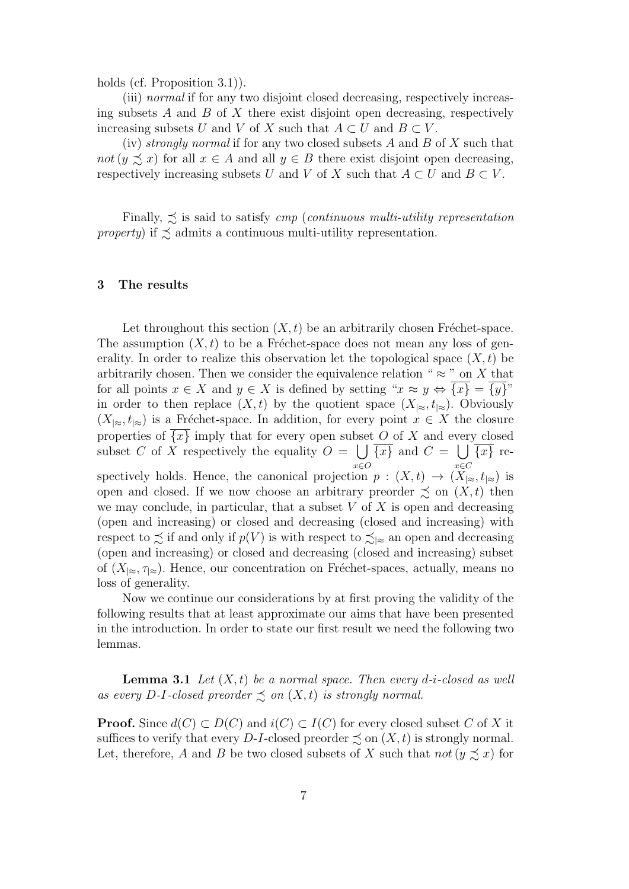holds (cf. Proposition 3.1)).

(iii) *normal* if for any two disjoint closed decreasing, respectively increasing subsets *A* and *B* of *X* there exist disjoint open decreasing, respectively increasing subsets *U* and *V* of *X* such that  $A \subset U$  and  $B \subset V$ .

(iv) *strongly normal* if for any two closed subsets *A* and *B* of *X* such that *not*  $(y \preceq x)$  for all  $x \in A$  and all  $y \in B$  there exist disjoint open decreasing, respectively increasing subsets *U* and *V* of *X* such that  $A \subset U$  and  $B \subset V$ .

Finally,  $\lesssim$  is said to satisfy *cmp* (*continuous multi-utility representation property*) if  $\precsim$  admits a continuous multi-utility representation.

# **3 The results**

Let throughout this section  $(X, t)$  be an arbitrarily chosen Fréchet-space. The assumption  $(X, t)$  to be a Fréchet-space does not mean any loss of generality. In order to realize this observation let the topological space  $(X, t)$  be arbitrarily chosen. Then we consider the equivalence relation " $\approx$ " on X that for all points  $x \in X$  and  $y \in X$  is defined by setting " $x \approx y \Leftrightarrow \overline{\{x\}} = \overline{\{y\}}$ " in order to then replace  $(X, t)$  by the quotient space  $(X_{|\approx}, t_{|\approx})$ . Obviously  $(X_{\infty}, t_{\infty})$  is a Fréchet-space. In addition, for every point  $x \in X$  the closure properties of  $\overline{\{x\}}$  imply that for every open subset *O* of *X* and every closed subset *C* of *X* respectively the equality  $O = \cup$ *x∈O*  $\overline{\{x\}}$  and  $C = \bigcup$ *x∈C {x}* respectively holds. Hence, the canonical projection  $p : (X,t) \to (X_{|\approx}, t_{|\approx})$  is open and closed. If we now choose an arbitrary preorder  $\precsim$  on  $(X, t)$  then we may conclude, in particular, that a subset *V* of *X* is open and decreasing (open and increasing) or closed and decreasing (closed and increasing) with respect to  $\precsim$  if and only if  $p(V)$  is with respect to  $\precsim_{\geq}$  an open and decreasing (open and increasing) or closed and decreasing (closed and increasing) subset of  $(X_{\mid\approx}, \tau_{\mid\approx})$ . Hence, our concentration on Fréchet-spaces, actually, means no loss of generality.

Now we continue our considerations by at first proving the validity of the following results that at least approximate our aims that have been presented in the introduction. In order to state our first result we need the following two lemmas.

**Lemma 3.1** *Let* (*X, t*) *be a normal space. Then every d-i-closed as well as every D-I-closed preorder*  $\precsim$  *on*  $(X, t)$  *is strongly normal.* 

**Proof.** Since  $d(C) \subset D(C)$  and  $i(C) \subset I(C)$  for every closed subset *C* of *X* it suffices to verify that every *D*-*I*-closed preorder  $\precsim$  on  $(X, t)$  is strongly normal. Let, therefore, *A* and *B* be two closed subsets of *X* such that  $not (y \preceq x)$  for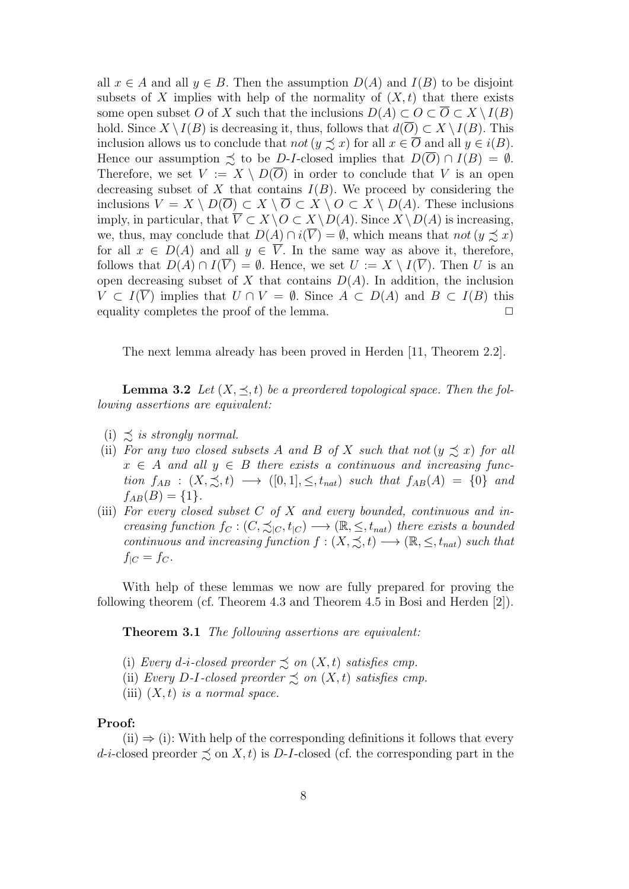all  $x \in A$  and all  $y \in B$ . Then the assumption  $D(A)$  and  $I(B)$  to be disjoint subsets of *X* implies with help of the normality of  $(X, t)$  that there exists some open subset *O* of *X* such that the inclusions  $D(A) \subset O \subset \overline{O} \subset X \setminus I(B)$ hold. Since  $X \setminus I(B)$  is decreasing it, thus, follows that  $d(\overline{O}) \subset X \setminus I(B)$ . This inclusion allows us to conclude that *not* ( $y \precsim x$ ) for all  $x \in \overline{O}$  and all  $y \in i(B)$ . Hence our assumption  $\precsim$  to be *D*-*I*-closed implies that  $D(\overline{O}) \cap I(B) = \emptyset$ . Therefore, we set  $V := X \setminus D(O)$  in order to conclude that V is an open decreasing subset of  $X$  that contains  $I(B)$ . We proceed by considering the inclusions *V* = *X \ D*(*O*) *⊂ X \ O ⊂ X \ O ⊂ X \ D*(*A*). These inclusions imply, in particular, that  $\overline{V} \subset X \setminus O \subset X \setminus D(A)$ . Since  $X \setminus D(A)$  is increasing, we, thus, may conclude that  $D(A) \cap i(\overline{V}) = \emptyset$ , which means that  $not (y \preceq x)$ for all  $x \in D(A)$  and all  $y \in \overline{V}$ . In the same way as above it, therefore, follows that  $D(A) \cap I(\overline{V}) = \emptyset$ . Hence, we set  $U := X \setminus I(\overline{V})$ . Then *U* is an open decreasing subset of  $X$  that contains  $D(A)$ . In addition, the inclusion *V* ⊂ *I*( $\overline{V}$ ) implies that *U* ∩ *V* =  $\emptyset$ . Since *A* ⊂ *D*(*A*) and *B* ⊂ *I*(*B*) this equality completes the proof of the lemma.  $\Box$ 

The next lemma already has been proved in Herden [11, Theorem 2.2].

**Lemma 3.2** *Let*  $(X, \prec, t)$  *be a preordered topological space. Then the following assertions are equivalent:*

- (i)  $\precsim$  *is strongly normal.*
- (ii) *For any two closed subsets A and B of X such that not* ( $y \precsim x$ ) *for all*  $x \in A$  *and all*  $y \in B$  *there exists a continuous and increasing function*  $f_{AB}$  :  $(X, \leq, t) \longrightarrow ([0, 1], \leq, t_{nat})$  *such that*  $f_{AB}(A) = \{0\}$  *and*  $f_{AB}(B) = \{1\}.$
- (iii) *For every closed subset C of X and every bounded, continuous and increasing function*  $f_C : (C, \preceq_{|C} t_{|C}) \longrightarrow (\mathbb{R}, \leq, t_{nat})$  *there exists a bounded continuous and increasing function*  $f : (X, \preceq, t) \longrightarrow (\mathbb{R}, \leq, t_{nat})$  *such that*  $f|_C = f_C$ .

With help of these lemmas we now are fully prepared for proving the following theorem (cf. Theorem 4.3 and Theorem 4.5 in Bosi and Herden [2]).

**Theorem 3.1** *The following assertions are equivalent:*

(i) *Every d*-*i*-*closed preorder*  $\precsim$  *on*  $(X, t)$  *satisfies cmp.* 

(ii) *Every* D-*I*-closed preorder  $\precsim$  on  $(X, t)$  satisfies cmp.

(iii) (*X, t*) *is a normal space.*

#### **Proof:**

 $(i) \Rightarrow (i)$ : With help of the corresponding definitions it follows that every *d*-*i*-closed preorder  $\leq$  on *X, t*) is *D*-*I*-closed (cf. the corresponding part in the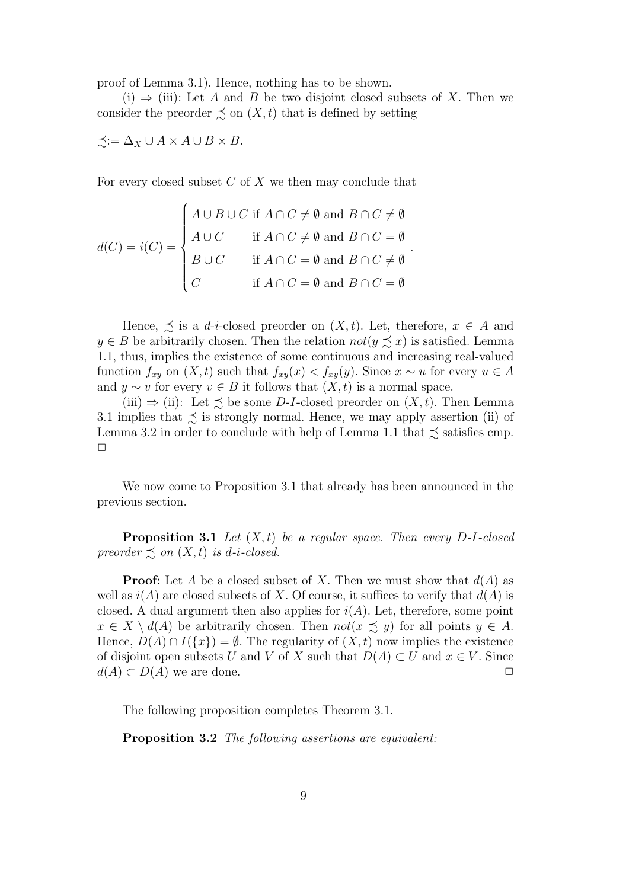proof of Lemma 3.1). Hence, nothing has to be shown.

(i) *⇒* (iii): Let *A* and *B* be two disjoint closed subsets of *X*. Then we consider the preorder  $\precsim$  on  $(X, t)$  that is defined by setting

 $\precsim$ :  $\Delta$ <sub>*X</sub>* ∪ *A* × *A* ∪ *B* × *B*.</sub>

For every closed subset *C* of *X* we then may conclude that

$$
d(C) = i(C) = \begin{cases} A \cup B \cup C & \text{if } A \cap C \neq \emptyset \text{ and } B \cap C \neq \emptyset \\ A \cup C & \text{if } A \cap C \neq \emptyset \text{ and } B \cap C = \emptyset \\ B \cup C & \text{if } A \cap C = \emptyset \text{ and } B \cap C \neq \emptyset \\ C & \text{if } A \cap C = \emptyset \text{ and } B \cap C = \emptyset \end{cases}.
$$

Hence,  $\precsim$  is a *d*-*i*-closed preorder on  $(X, t)$ . Let, therefore,  $x \in A$  and  $y \in B$  be arbitrarily chosen. Then the relation  $not(y \precsim x)$  is satisfied. Lemma 1.1, thus, implies the existence of some continuous and increasing real-valued function  $f_{xy}$  on  $(X, t)$  such that  $f_{xy}(x) < f_{xy}(y)$ . Since  $x \sim u$  for every  $u \in A$ and  $y \sim v$  for every  $v \in B$  it follows that  $(X, t)$  is a normal space.

(iii)  $\Rightarrow$  (ii): Let  $\preceq$  be some *D*-*I*-closed preorder on  $(X, t)$ . Then Lemma 3.1 implies that  $\lesssim$  is strongly normal. Hence, we may apply assertion (ii) of Lemma 3.2 in order to conclude with help of Lemma 1.1 that  $\precsim$  satisfies cmp.  $\Box$ 

We now come to Proposition 3.1 that already has been announced in the previous section.

**Proposition 3.1** *Let* (*X, t*) *be a regular space. Then every D-I-closed preorder*  $\precsim$  *on*  $(X, t)$  *is d-i-closed.* 

**Proof:** Let *A* be a closed subset of *X*. Then we must show that  $d(A)$  as well as  $i(A)$  are closed subsets of *X*. Of course, it suffices to verify that  $d(A)$  is closed. A dual argument then also applies for  $i(A)$ . Let, therefore, some point  $x \in X \setminus d(A)$  be arbitrarily chosen. Then  $not(x \precsim y)$  for all points  $y \in A$ . Hence,  $D(A) \cap I({x}) = \emptyset$ . The regularity of  $(X, t)$  now implies the existence of disjoint open subsets *U* and *V* of *X* such that  $D(A) \subset U$  and  $x \in V$ . Since  $d(A) \subset D(A)$  we are done.  $\Box$ 

The following proposition completes Theorem 3.1.

**Proposition 3.2** *The following assertions are equivalent:*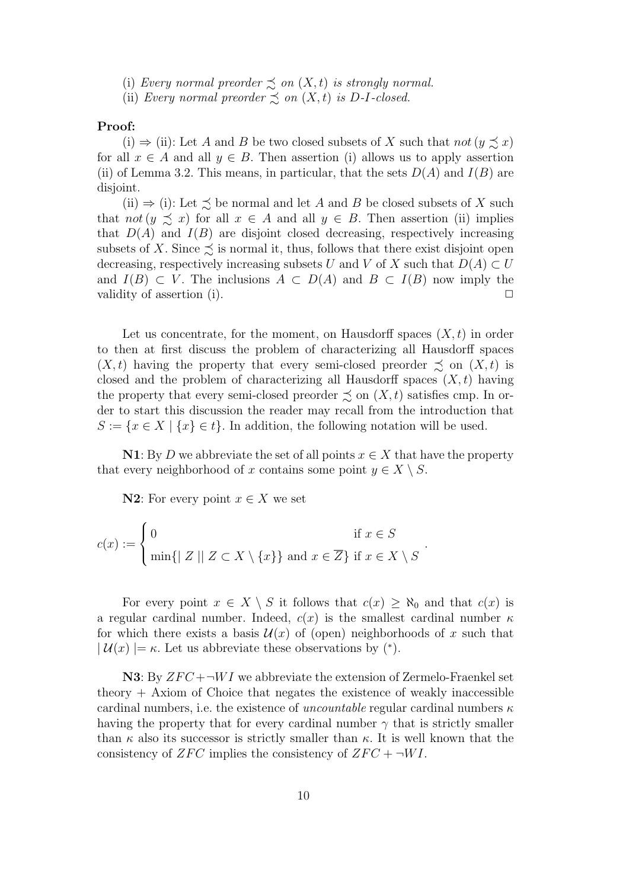- (i) *Every normal preorder*  $\precsim$  *on*  $(X, t)$  *is strongly normal.*
- (ii) *Every normal preorder*  $\precsim$  *on*  $(X, t)$  *is*  $D$ -*I*-closed.

#### **Proof:**

(i)  $\Rightarrow$  (ii): Let *A* and *B* be two closed subsets of *X* such that *not* (*y*  $\leq x$ ) for all  $x \in A$  and all  $y \in B$ . Then assertion (i) allows us to apply assertion (ii) of Lemma 3.2. This means, in particular, that the sets  $D(A)$  and  $I(B)$  are disjoint.

 $(ii)$  ⇒ (i): Let  $\leq$  be normal and let *A* and *B* be closed subsets of *X* such that *not*  $(y \preceq x)$  for all  $x \in A$  and all  $y \in B$ . Then assertion (ii) implies that  $D(A)$  and  $I(B)$  are disjoint closed decreasing, respectively increasing subsets of X. Since  $\preceq$  is normal it, thus, follows that there exist disjoint open decreasing, respectively increasing subsets *U* and *V* of *X* such that  $D(A) \subset U$ and  $I(B) \subset V$ . The inclusions  $A \subset D(A)$  and  $B \subset I(B)$  now imply the validity of assertion (i).  $\Box$ 

Let us concentrate, for the moment, on Hausdorff spaces  $(X, t)$  in order to then at first discuss the problem of characterizing all Hausdorff spaces  $(X, t)$  having the property that every semi-closed preorder  $\precsim$  on  $(X, t)$  is closed and the problem of characterizing all Hausdorff spaces  $(X, t)$  having the property that every semi-closed preorder  $\precsim$  on  $(X, t)$  satisfies cmp. In order to start this discussion the reader may recall from the introduction that  $S := \{x \in X \mid \{x\} \in t\}$ . In addition, the following notation will be used.

**N1**: By *D* we abbreviate the set of all points  $x \in X$  that have the property that every neighborhood of *x* contains some point  $y \in X \setminus S$ .

*.*

**N2**: For every point  $x \in X$  we set

$$
c(x) := \begin{cases} 0 & \text{if } x \in S \\ \min\{|Z| \mid Z \subset X \setminus \{x\}\} \text{ and } x \in \overline{Z}\} & \text{if } x \in X \setminus S \end{cases}
$$

For every point  $x \in X \setminus S$  it follows that  $c(x) \geq \aleph_0$  and that  $c(x)$  is a regular cardinal number. Indeed,  $c(x)$  is the smallest cardinal number  $\kappa$ for which there exists a basis  $\mathcal{U}(x)$  of (open) neighborhoods of x such that  $| \mathcal{U}(x) | = \kappa$ . Let us abbreviate these observations by  $(*).$ 

**N3**: By  $ZFC + \neg WI$  we abbreviate the extension of Zermelo-Fraenkel set theory + Axiom of Choice that negates the existence of weakly inaccessible cardinal numbers, i.e. the existence of *uncountable* regular cardinal numbers *κ* having the property that for every cardinal number  $\gamma$  that is strictly smaller than  $\kappa$  also its successor is strictly smaller than  $\kappa$ . It is well known that the consistency of *ZFC* implies the consistency of  $ZFC + \neg WI$ .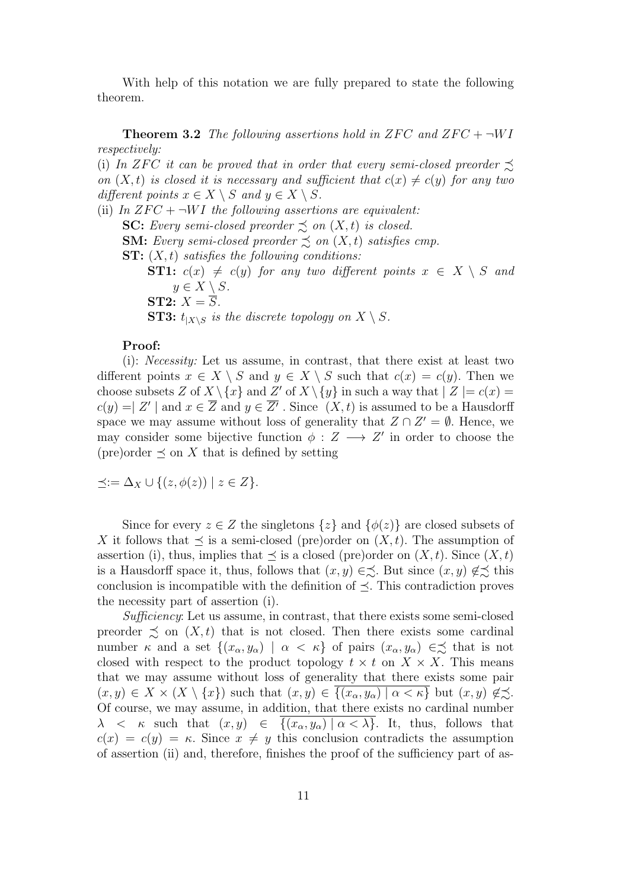With help of this notation we are fully prepared to state the following theorem.

**Theorem 3.2** *The following assertions hold in ZFC and*  $ZFC + \neg WI$ *respectively:*

(i) In *ZFC* it can be proved that in order that every semi-closed preorder  $\preceq$ *on*  $(X, t)$  *is closed it is necessary and sufficient that*  $c(x) \neq c(y)$  *for any two different points*  $x \in X \setminus S$  *and*  $y \in X \setminus S$ *.* 

(ii) In  $ZFC + \neg WI$  the following assertions are equivalent:

**SC:** *Every semi-closed preorder*  $\precsim$  *on*  $(X, t)$  *is closed.* 

**SM:** *Every semi-closed preorder*  $\precsim$  *on*  $(X, t)$  *satisfies cmp.* 

**ST:** (*X, t*) *satisfies the following conditions:*

**ST1:**  $c(x) \neq c(y)$  for any two different points  $x \in X \setminus S$  and *y* ∈ *X*  $\setminus$  *S.* 

**ST2:**  $X = \overline{S}$ *.* 

**ST3:**  $t_{|X \setminus S}$  is the discrete topology on  $X \setminus S$ .

#### **Proof:**

(i): *Necessity:* Let us assume, in contrast, that there exist at least two different points  $x \in X \setminus S$  and  $y \in X \setminus S$  such that  $c(x) = c(y)$ . Then we choose subsets *Z* of  $X \setminus \{x\}$  and *Z'* of  $X \setminus \{y\}$  in such a way that  $|Z| = c(x) =$  $c(y) = |Z'|$  and  $x \in Z$  and  $y \in Z'$ . Since  $(X, t)$  is assumed to be a Hausdorff space we may assume without loss of generality that  $Z \cap Z' = \emptyset$ . Hence, we may consider some bijective function  $\phi : Z \longrightarrow Z'$  in order to choose the (pre)order  $\prec$  on X that is defined by setting

$$
\preceq := \Delta_X \cup \{ (z, \phi(z)) \mid z \in Z \}.
$$

Since for every  $z \in Z$  the singletons  $\{z\}$  and  $\{\phi(z)\}\$  are closed subsets of *X* it follows that  $\prec$  is a semi-closed (pre)order on  $(X, t)$ . The assumption of assertion (i), thus, implies that  $\preceq$  is a closed (pre)order on  $(X, t)$ . Since  $(X, t)$ is a Hausdorff space it, thus, follows that  $(x, y) \in \leq$ . But since  $(x, y) \notin \leq$  this conclusion is incompatible with the definition of *≼*. This contradiction proves the necessity part of assertion (i).

*Sufficiency*: Let us assume, in contrast, that there exists some semi-closed preorder  $\preceq$  on  $(X, t)$  that is not closed. Then there exists some cardinal number *κ* and a set  $\{(x_\alpha, y_\alpha) \mid \alpha < \kappa\}$  of pairs  $(x_\alpha, y_\alpha) \in \preceq$  that is not closed with respect to the product topology  $t \times t$  on  $X \times X$ . This means that we may assume without loss of generality that there exists some pair  $(x, y) \in X \times (X \setminus \{x\})$  such that  $(x, y) \in \overline{\{(x_\alpha, y_\alpha) \mid \alpha < \kappa\}}$  but  $(x, y) \notin \preceq$ . Of course, we may assume, in addition, that there exists no cardinal number *λ* < *κ* such that  $(x, y)$  ∈  $\{(x_α, y_α) | α < λ\}$ . It, thus, follows that  $c(x) = c(y) = \kappa$ . Since  $x \neq y$  this conclusion contradicts the assumption of assertion (ii) and, therefore, finishes the proof of the sufficiency part of as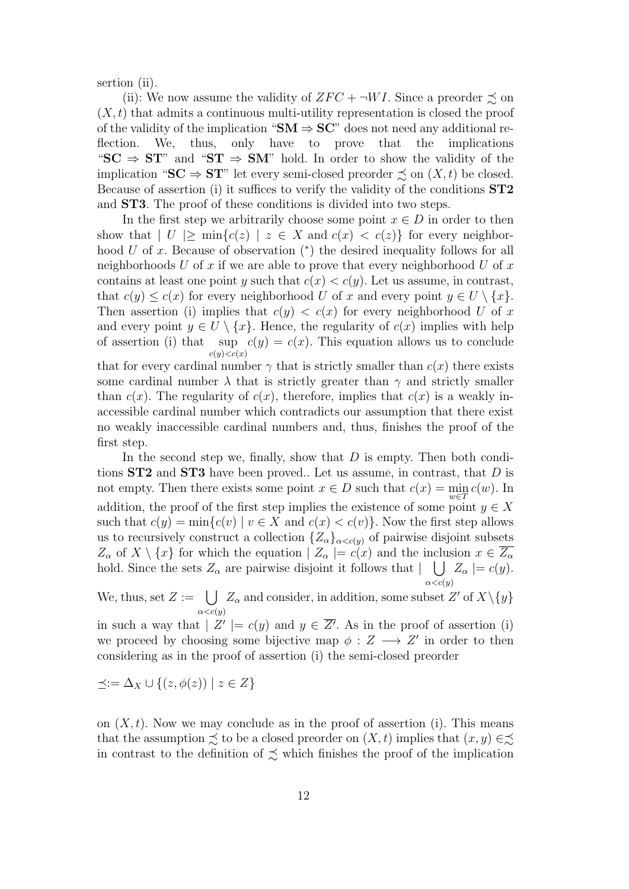sertion (ii).

(ii): We now assume the validity of  $ZFC + \neg WI$ . Since a preorder  $\precsim$  on  $(X, t)$  that admits a continuous multi-utility representation is closed the proof of the validity of the implication " $SM \Rightarrow SC$ " does not need any additional reflection. We, thus, only have to prove that the implications " $SC \Rightarrow ST$ " and " $ST \Rightarrow SM$ " hold. In order to show the validity of the implication " $\mathbf{SC} \Rightarrow \mathbf{ST}$ " let every semi-closed preorder  $\precsim$  on  $(X, t)$  be closed. Because of assertion (i) it suffices to verify the validity of the conditions **ST2** and **ST3**. The proof of these conditions is divided into two steps.

In the first step we arbitrarily choose some point  $x \in D$  in order to then show that  $|U| \ge \min\{c(z) \mid z \in X \text{ and } c(x) < c(z)\}\)$  for every neighborhood *U* of *x*. Because of observation (\*) the desired inequality follows for all neighborhoods *U* of *x* if we are able to prove that every neighborhood *U* of *x* contains at least one point *y* such that  $c(x) < c(y)$ . Let us assume, in contrast, that  $c(y) \leq c(x)$  for every neighborhood *U* of *x* and every point  $y \in U \setminus \{x\}$ . Then assertion (i) implies that  $c(y) < c(x)$  for every neighborhood *U* of *x* and every point  $y \in U \setminus \{x\}$ . Hence, the regularity of  $c(x)$  implies with help of assertion (i) that sup  $c(y) = c(x)$ . This equation allows us to conclude  $c(y)$   $\leq c(x)$ 

that for every cardinal number  $\gamma$  that is strictly smaller than  $c(x)$  there exists some cardinal number  $\lambda$  that is strictly greater than  $\gamma$  and strictly smaller than  $c(x)$ . The regularity of  $c(x)$ , therefore, implies that  $c(x)$  is a weakly inaccessible cardinal number which contradicts our assumption that there exist no weakly inaccessible cardinal numbers and, thus, finishes the proof of the first step.

In the second step we, finally, show that *D* is empty. Then both conditions **ST2** and **ST3** have been proved.. Let us assume, in contrast, that *D* is not empty. Then there exists some point  $x \in D$  such that  $c(x) = \min_{x \in D} a(x)$ *w∈T c*(*w*). In addition, the proof of the first step implies the existence of some point  $y \in X$ such that  $c(y) = \min\{c(v) \mid v \in X \text{ and } c(x) < c(v)\}\)$ . Now the first step allows us to recursively construct a collection  $\{Z_{\alpha}\}_{\alpha < c(y)}$  of pairwise disjoint subsets  $Z_{\alpha}$  of  $X \setminus \{x\}$  for which the equation  $|Z_{\alpha}| = c(x)$  and the inclusion  $x \in \overline{Z_{\alpha}}$ hold. Since the sets  $Z_{\alpha}$  are pairwise disjoint it follows that  $| \bigcup Z_{\alpha} | = c(y)$ .  $\alpha < c(y)$ 

We, thus, set  $Z := \bigcup Z_\alpha$  and consider, in addition, some subset  $Z'$  of  $X \setminus \{y\}$ *α<c*(*y*)

in such a way that  $|Z'|=c(y)$  and  $y \in \overline{Z'}$ . As in the proof of assertion (i) we proceed by choosing some bijective map  $\phi : Z \longrightarrow Z'$  in order to then considering as in the proof of assertion (i) the semi-closed preorder

$$
\preceq:= \Delta_X \cup \{(z,\phi(z)) \mid z \in Z\}
$$

on  $(X, t)$ . Now we may conclude as in the proof of assertion (i). This means that the assumption  $\precsim$  to be a closed preorder on  $(X, t)$  implies that  $(x, y) \in \precsim$ in contrast to the definition of  $\precsim$  which finishes the proof of the implication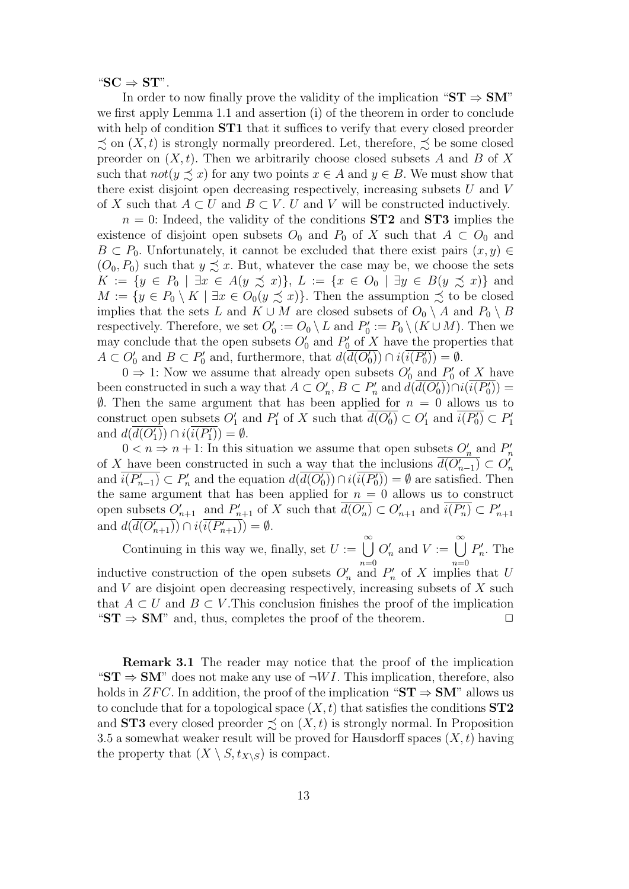" $SC \Rightarrow ST$ ".

In order to now finally prove the validity of the implication " $ST \Rightarrow SM$ " we first apply Lemma 1.1 and assertion (i) of the theorem in order to conclude with help of condition **ST1** that it suffices to verify that every closed preorder  $\precsim$  on  $(X, t)$  is strongly normally preordered. Let, therefore,  $\precsim$  be some closed preorder on  $(X, t)$ . Then we arbitrarily choose closed subsets A and B of X such that  $not(y \preceq x)$  for any two points  $x \in A$  and  $y \in B$ . We must show that there exist disjoint open decreasing respectively, increasing subsets *U* and *V* of *X* such that  $A \subset U$  and  $B \subset V$ . *U* and *V* will be constructed inductively.

 $n = 0$ : Indeed, the validity of the conditions **ST2** and **ST3** implies the existence of disjoint open subsets  $O_0$  and  $P_0$  of  $X$  such that  $A \subset O_0$  and *B*  $\subset$  *P*<sub>0</sub>. Unfortunately, it cannot be excluded that there exist pairs  $(x, y) \in$  $(O_0, P_0)$  such that  $y \precsim x$ . But, whatever the case may be, we choose the sets  $K := \{y \in P_0 \mid \exists x \in A(y \preceq x)\}, L := \{x \in O_0 \mid \exists y \in B(y \preceq x)\}\$ and *M* := { $y \in P_0 \setminus K$  | ∃ $x \in O_0(y \precsim x)$ }. Then the assumption  $\precsim$  to be closed implies that the sets *L* and  $K \cup M$  are closed subsets of  $O_0 \setminus A$  and  $P_0 \setminus B$ respectively. Therefore, we set  $O'_0 := O_0 \setminus L$  and  $P'_0 := P_0 \setminus (K \cup M)$ . Then we may conclude that the open subsets  $O'_0$  and  $P'_0$  of X have the properties that  $A \subset O'_0$  and  $B \subset P'_0$  and, furthermore, that  $d(d(O'_0)) \cap i(i(P'_0)) = \emptyset$ .

0  $\Rightarrow$  1: Now we assume that already open subsets  $O'_0$  and  $P'_0$  of X have been constructed in such a way that  $A \subset O'_n$ ,  $B \subset P'_n$  and  $d(d(O'_0)) \cap i(i(P'_0)) =$  $\emptyset$ . Then the same argument that has been applied for  $n = 0$  allows us to construct open subsets  $O'_1$  and  $P'_1$  of  $X$  such that  $d(O'_0) \subset O'_1$  and  $i(P'_0) \subset P'_1$ and  $d(d(O'_1)) \cap i(i(P'_1)) = \emptyset$ .

 $0 < n \Rightarrow n+1$ : In this situation we assume that open subsets  $O'_n$  and  $P'_n$ of *X* have been constructed in such a way that the inclusions  $d(O'_{n-1}) \subset O'_{n}$ and  $i(P'_{n-1}) \subset P'_n$  and the equation  $d(d(O'_0)) \cap i(i(P'_0)) = \emptyset$  are satisfied. Then the same argument that has been applied for  $n = 0$  allows us to construct open subsets  $O'_{n+1}$  and  $P'_{n+1}$  of X such that  $d(O'_n) \subset O'_{n+1}$  and  $i(P'_n) \subset P'_{n+1}$ and  $d(d(O'_{n+1})) \cap i(i(P'_{n+1})) = \emptyset$ .

Continuing in this way we, finally, set  $U := \bigcup_{n=0}^{\infty} O'_n$  and  $V := \bigcup_{n=0}^{\infty} P'_n$ . The inductive construction of the open subsets  $O'_{n}$  and  $P'_{n}$  of *X* implies that *U* and *V* are disjoint open decreasing respectively, increasing subsets of *X* such that  $A \subset U$  and  $B \subset V$ . This conclusion finishes the proof of the implication  $\text{``ST} \Rightarrow \text{SM''}$  and, thus, completes the proof of the theorem.  $\Box$ 

**Remark 3.1** The reader may notice that the proof of the implication " $\mathbf{ST} \Rightarrow \mathbf{SM}$ " does not make any use of  $\neg W I$ . This implication, therefore, also holds in *ZFC*. In addition, the proof of the implication " $\mathbf{ST} \Rightarrow \mathbf{SM}$ " allows us to conclude that for a topological space  $(X, t)$  that satisfies the conditions **ST2** and **ST3** every closed preorder  $\precsim$  on  $(X, t)$  is strongly normal. In Proposition 3.5 a somewhat weaker result will be proved for Hausdorff spaces (*X, t*) having the property that  $(X \setminus S, t_{X \setminus S})$  is compact.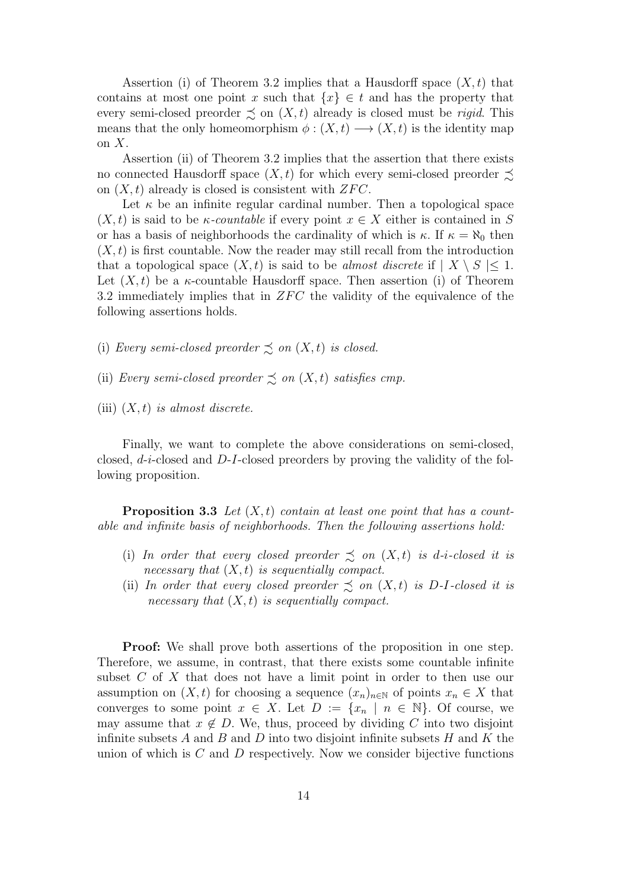Assertion (i) of Theorem 3.2 implies that a Hausdorff space (*X, t*) that contains at most one point *x* such that  ${x \in t}$  and has the property that every semi-closed preorder  $\preceq$  on  $(X, t)$  already is closed must be *rigid*. This means that the only homeomorphism  $\phi: (X, t) \longrightarrow (X, t)$  is the identity map on *X*.

Assertion (ii) of Theorem 3.2 implies that the assertion that there exists no connected Hausdorff space  $(X, t)$  for which every semi-closed preorder  $\preceq$ on  $(X, t)$  already is closed is consistent with  $ZFC$ .

Let  $\kappa$  be an infinite regular cardinal number. Then a topological space  $(X, t)$  is said to be *κ-countable* if every point  $x \in X$  either is contained in *S* or has a basis of neighborhoods the cardinality of which is  $\kappa$ . If  $\kappa = \aleph_0$  then  $(X, t)$  is first countable. Now the reader may still recall from the introduction that a topological space  $(X, t)$  is said to be *almost discrete* if  $| X \setminus S | \leq 1$ . Let  $(X, t)$  be a  $\kappa$ -countable Hausdorff space. Then assertion (i) of Theorem 3.2 immediately implies that in *ZFC* the validity of the equivalence of the following assertions holds.

- (i) *Every semi-closed preorder*  $\precsim$  *on*  $(X, t)$  *is closed.*
- (ii) *Every semi-closed preorder*  $\precsim$  *on*  $(X, t)$  *satisfies cmp.*
- (iii) (*X, t*) *is almost discrete.*

Finally, we want to complete the above considerations on semi-closed, closed, *d*-*i*-closed and *D*-*I*-closed preorders by proving the validity of the following proposition.

**Proposition 3.3** *Let* (*X, t*) *contain at least one point that has a countable and infinite basis of neighborhoods. Then the following assertions hold:*

- (i) In order that every closed preorder  $\precsim$  on  $(X,t)$  is d-i-closed it is *necessary that* (*X, t*) *is sequentially compact.*
- (ii) *In order that every closed preorder*  $\precsim$  *on*  $(X,t)$  *is D-I-closed it is necessary that* (*X, t*) *is sequentially compact.*

**Proof:** We shall prove both assertions of the proposition in one step. Therefore, we assume, in contrast, that there exists some countable infinite subset *C* of *X* that does not have a limit point in order to then use our assumption on  $(X, t)$  for choosing a sequence  $(x_n)_{n \in \mathbb{N}}$  of points  $x_n \in X$  that converges to some point  $x \in X$ . Let  $D := \{x_n \mid n \in \mathbb{N}\}\$ . Of course, we may assume that  $x \notin D$ . We, thus, proceed by dividing C into two disjoint infinite subsets *A* and *B* and *D* into two disjoint infinite subsets *H* and *K* the union of which is *C* and *D* respectively. Now we consider bijective functions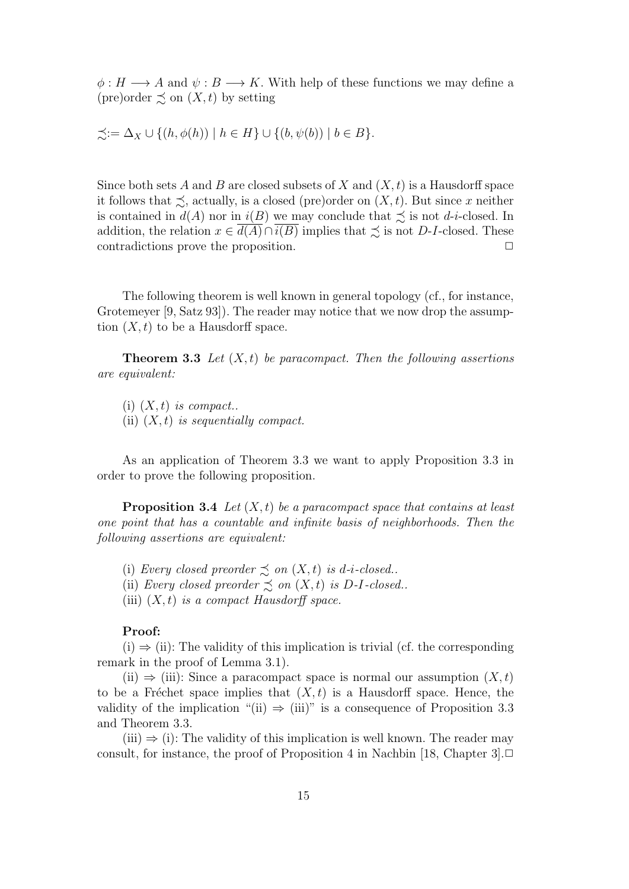$\phi: H \longrightarrow A$  and  $\psi: B \longrightarrow K$ . With help of these functions we may define a (pre)order  $\precsim$  on  $(X, t)$  by setting

 $\preceq$ :  $= \Delta_X \cup \{(h, \phi(h)) \mid h \in H\} \cup \{(b, \psi(b)) \mid b \in B\}.$ 

Since both sets  $A$  and  $B$  are closed subsets of  $X$  and  $(X, t)$  is a Hausdorff space it follows that  $\preceq$ , actually, is a closed (pre)order on  $(X, t)$ . But since *x* neither is contained in  $d(A)$  nor in  $i(B)$  we may conclude that  $\preceq$  is not *d*-*i*-closed. In addition, the relation  $x \in d(A) \cap i(B)$  implies that  $\precsim$  is not *D*-*I*-closed. These contradictions prove the proposition. **□** 

The following theorem is well known in general topology (cf., for instance, Grotemeyer [9, Satz 93]). The reader may notice that we now drop the assumption  $(X, t)$  to be a Hausdorff space.

**Theorem 3.3** *Let* (*X, t*) *be paracompact. Then the following assertions are equivalent:*

 $(i)$   $(X, t)$  *is compact..* (ii) (*X, t*) *is sequentially compact.*

As an application of Theorem 3.3 we want to apply Proposition 3.3 in order to prove the following proposition.

**Proposition 3.4** *Let* (*X, t*) *be a paracompact space that contains at least one point that has a countable and infinite basis of neighborhoods. Then the following assertions are equivalent:*

(i) *Every closed preorder*  $\precsim$  *on*  $(X, t)$  *is d-i-closed..* 

(ii) *Every closed preorder*  $\precsim$  *on*  $(X, t)$  *is D*-*I*-*closed..* 

(iii) (*X, t*) *is a compact Hausdorff space.*

#### **Proof:**

 $(i) \Rightarrow (ii)$ : The validity of this implication is trivial (cf. the corresponding remark in the proof of Lemma 3.1).

 $(iii) \Rightarrow (iii)$ : Since a paracompact space is normal our assumption  $(X, t)$ to be a Fréchet space implies that  $(X, t)$  is a Hausdorff space. Hence, the validity of the implication "(ii)  $\Rightarrow$  (iii)" is a consequence of Proposition 3.3 and Theorem 3.3.

 $(iii) \Rightarrow (i)$ : The validity of this implication is well known. The reader may consult, for instance, the proof of Proposition 4 in Nachbin  $[18, Chapter 3]$ . $\Box$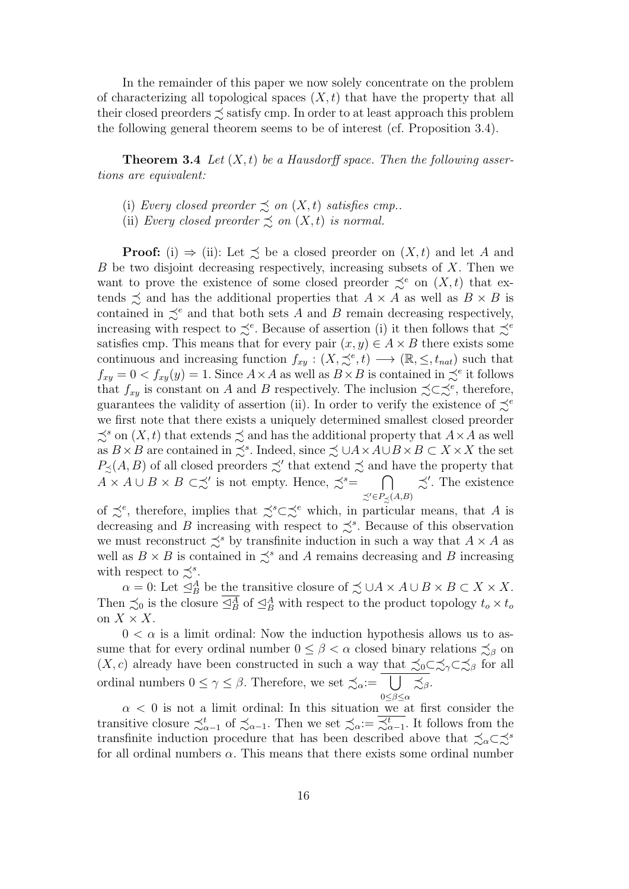In the remainder of this paper we now solely concentrate on the problem of characterizing all topological spaces  $(X, t)$  that have the property that all their closed preorders  $\preceq$  satisfy cmp. In order to at least approach this problem the following general theorem seems to be of interest (cf. Proposition 3.4).

**Theorem 3.4** *Let* (*X, t*) *be a Hausdorff space. Then the following assertions are equivalent:*

- (i) *Every closed preorder*  $\precsim$  *on*  $(X, t)$  *satisfies cmp..*
- (ii) *Every closed preorder*  $\precsim$  *on*  $(X, t)$  *is normal.*

**Proof:** (i)  $\Rightarrow$  (ii): Let  $\leq$  be a closed preorder on  $(X, t)$  and let *A* and *B* be two disjoint decreasing respectively, increasing subsets of *X*. Then we want to prove the existence of some closed preorder  $\precsim^e$  on  $(X, t)$  that extends  $\leq$  and has the additional properties that  $A \times A$  as well as  $B \times B$  is contained in  $\precsim^e$  and that both sets *A* and *B* remain decreasing respectively, increasing with respect to  $\precsim^e$ . Because of assertion (i) it then follows that  $\precsim^e$ satisfies cmp. This means that for every pair  $(x, y) \in A \times B$  there exists some continuous and increasing function  $f_{xy} : (X, \preceq^e, t) \longrightarrow (\mathbb{R}, \leq, t_{nat})$  such that  $f_{xy} = 0 < f_{xy}(y) = 1$ . Since  $A \times A$  as well as  $B \times B$  is contained in  $\precsim^e$  it follows that  $f_{xy}$  is constant on *A* and *B* respectively. The inclusion  $\precsim \preceq^e f$ , therefore, guarantees the validity of assertion (ii). In order to verify the existence of  $\preceq^e$ we first note that there exists a uniquely determined smallest closed preorder  $\precsim^s$  on  $(X, t)$  that extends  $\precsim$  and has the additional property that  $A \times A$  as well as  $B \times B$  are contained in  $\precsim^s$ . Indeed, since  $\precsim \cup A \times A \cup B \times B \subset X \times X$  the set  $P_{\precsim}(A, B)$  of all closed preorders  $\precsim'$  that extend  $\precsim$  and have the property that *A*  $\times$  *A* ∪ *B*  $\times$  *B*  $\subset \precsim'$  is not empty. Hence,  $\precsim^s = \cap$  $\precsim$ <sup>*'*</sup>∈*P*<sub> $≤$ </sub>(*A,B*) - *′* . The existence

of  $\precsim^e$ , therefore, implies that  $\precsim^e \precsim^e \precsim^e$  which, in particular means, that *A* is decreasing and *B* increasing with respect to  $\precsim$ <sup>8</sup>. Because of this observation we must reconstruct  $\precsim^s$  by transfinite induction in such a way that  $A \times A$  as well as  $B \times B$  is contained in  $\precsim^s$  and A remains decreasing and B increasing with respect to  $\precsim^s$ .

 $\alpha = 0$ : Let  $\leq^A_B$  be the transitive closure of  $\precsim \cup A \times A \cup B \times B \subset X \times X$ . Then  $\precsim_0$  is the closure  $\preceq_B^A$  of  $\preceq_B^A$  with respect to the product topology  $t_o \times t_o$ on  $X \times X$ .

 $0 < \alpha$  is a limit ordinal: Now the induction hypothesis allows us to assume that for every ordinal number  $0 \leq \beta < \alpha$  closed binary relations  $\precsim_{\beta}$  on  $(X, c)$  already have been constructed in such a way that  $\precsim_0 \subset \precsim_\gamma \subset \precsim_\beta$  for all ordinal numbers  $0 \leq \gamma \leq \beta$ . Therefore, we set  $\precsim_{\alpha} := \Box$ 0*≤β≤α* -*β*.

 $\alpha$  < 0 is not a limit ordinal: In this situation we at first consider the transitive closure  $\precsim_{\alpha-1}^t$  of  $\precsim_{\alpha-1}$ . Then we set  $\precsim_{\alpha}:=\frac{\precsim_{\alpha-1}^t}{\precsim_{\alpha-1}^t}$ . It follows from the transfinite induction procedure that has been described above that  $\precsim_{\alpha} \subset \precsim^{s}$ for all ordinal numbers  $\alpha$ . This means that there exists some ordinal number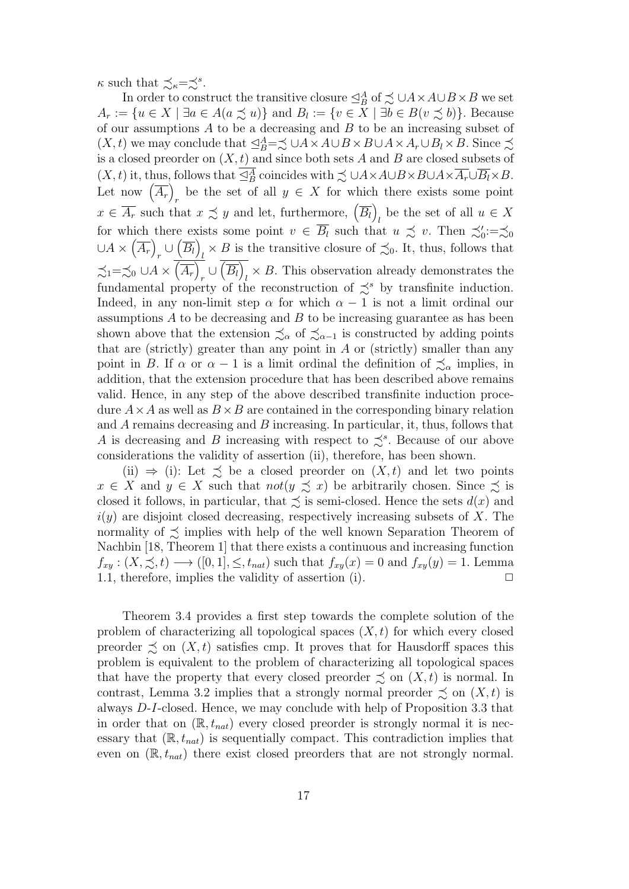*κ* such that  $\precsim_{\kappa} = \precsim^{s}$ .

In order to construct the transitive closure  $\triangle^A_B$  of  $\precsim \cup A \times A \cup B \times B$  we set  $A_r := \{u \in X \mid \exists a \in A (a \preceq u)\}\$ and  $B_l := \{v \in X \mid \exists b \in B (v \preceq b)\}\$ . Because of our assumptions *A* to be a decreasing and *B* to be an increasing subset of  $(X, t)$  we may conclude that  $\Delta_B^A = \prec \Delta \cup A \times A \cup B \times B \cup A \times A_r \cup B_l \times B$ . Since  $\prec \Delta$ is a closed preorder on (*X, t*) and since both sets *A* and *B* are closed subsets of  $(X, t)$  it, thus, follows that  $\leq^A_B$  coincides with  $\precsim \cup A \times A \cup B \times B \cup A \times \overline{A_r} \cup \overline{B_l} \times B$ . Let now  $\left(\overline{A_r}\right)$ *r* be the set of all  $y \in X$  for which there exists some point  $x \in \overline{A_r}$  such that  $x \precsim y$  and let, furthermore,  $(\overline{B_l})$ *l* be the set of all *u ∈ X* for which there exists some point  $v \in \overline{B_l}$  such that  $u \precsim v$ . Then  $\precsim_0^{\prime} := \precsim_0$ *∪A ×* ( *Ar* )  $\binom{r}{r}$  ∪  $\left(\overline{B_l}\right)$  $\lambda_l \times B$  is the transitive closure of  $\precsim_0$ . It, thus, follows that  $\precsim_1 = \precsim_0 \cup A \times \overline{\overline{(A_r)}}$  $\overline{r}$  ∪  $\overline{\left(\overline{B_l}\right)}$  $\mu \times B$ . This observation already demonstrates the fundamental property of the reconstruction of  $\precsim^s$  by transfinite induction. Indeed, in any non-limit step  $\alpha$  for which  $\alpha - 1$  is not a limit ordinal our assumptions *A* to be decreasing and *B* to be increasing guarantee as has been shown above that the extension  $\precsim_{\alpha}$  of  $\precsim_{\alpha-1}$  is constructed by adding points that are (strictly) greater than any point in *A* or (strictly) smaller than any point in *B*. If  $\alpha$  or  $\alpha - 1$  is a limit ordinal the definition of  $\precsim_{\alpha}$  implies, in addition, that the extension procedure that has been described above remains valid. Hence, in any step of the above described transfinite induction procedure  $A \times A$  as well as  $B \times B$  are contained in the corresponding binary relation and *A* remains decreasing and *B* increasing. In particular, it, thus, follows that *A* is decreasing and *B* increasing with respect to  $\precsim^s$ . Because of our above considerations the validity of assertion (ii), therefore, has been shown.

(ii)  $\Rightarrow$  (i): Let  $\preceq$  be a closed preorder on  $(X, t)$  and let two points  $x \in X$  and  $y \in X$  such that  $not(y \precsim x)$  be arbitrarily chosen. Since  $\precsim$  is closed it follows, in particular, that  $\precsim$  is semi-closed. Hence the sets  $d(x)$  and *i*(*y*) are disjoint closed decreasing, respectively increasing subsets of *X*. The normality of  $\preceq$  implies with help of the well known Separation Theorem of Nachbin [18, Theorem 1] that there exists a continuous and increasing function  $f_{xy}: (X, \preceq, t) \longrightarrow ([0, 1], \leq, t_{nat})$  such that  $f_{xy}(x) = 0$  and  $f_{xy}(y) = 1$ . Lemma 1.1, therefore, implies the validity of assertion  $(i)$ .  $\Box$ 

Theorem 3.4 provides a first step towards the complete solution of the problem of characterizing all topological spaces (*X, t*) for which every closed preorder  $\preceq$  on  $(X, t)$  satisfies cmp. It proves that for Hausdorff spaces this problem is equivalent to the problem of characterizing all topological spaces that have the property that every closed preorder  $\precsim$  on  $(X, t)$  is normal. In contrast, Lemma 3.2 implies that a strongly normal preorder  $\precsim$  on  $(X, t)$  is always *D*-*I*-closed. Hence, we may conclude with help of Proposition 3.3 that in order that on  $(\mathbb{R}, t_{nat})$  every closed preorder is strongly normal it is necessary that  $(\mathbb{R}, t_{nat})$  is sequentially compact. This contradiction implies that even on (R*, tnat*) there exist closed preorders that are not strongly normal.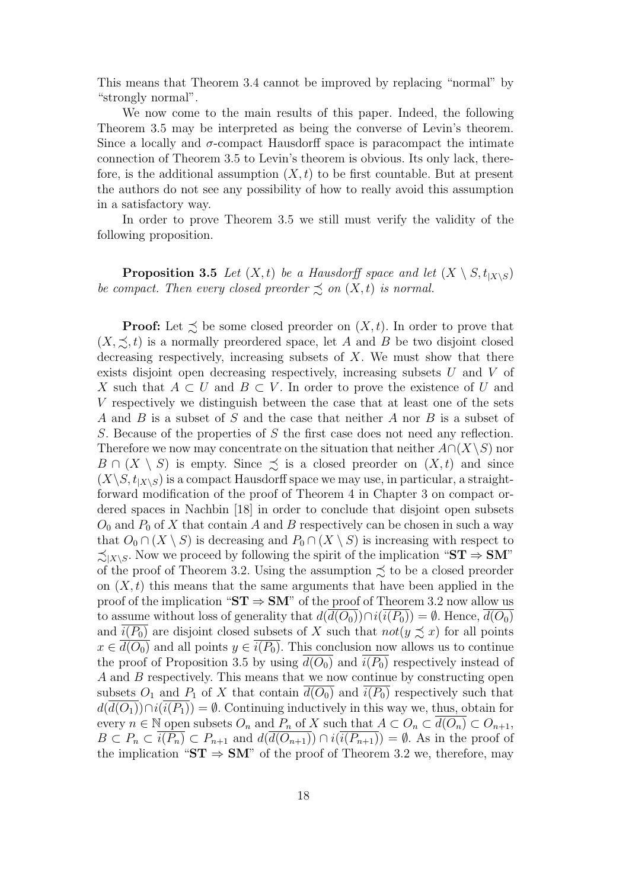This means that Theorem 3.4 cannot be improved by replacing "normal" by "strongly normal".

We now come to the main results of this paper. Indeed, the following Theorem 3.5 may be interpreted as being the converse of Levin's theorem. Since a locally and  $\sigma$ -compact Hausdorff space is paracompact the intimate connection of Theorem 3.5 to Levin's theorem is obvious. Its only lack, therefore, is the additional assumption  $(X, t)$  to be first countable. But at present the authors do not see any possibility of how to really avoid this assumption in a satisfactory way.

In order to prove Theorem 3.5 we still must verify the validity of the following proposition.

**Proposition 3.5** *Let*  $(X, t)$  *be a Hausdorff space and let*  $(X \setminus S, t_{|X \setminus S})$ *be compact. Then every closed preorder*  $\precsim$  *on*  $(X, t)$  *is normal.* 

**Proof:** Let  $\leq$  be some closed preorder on  $(X, t)$ . In order to prove that  $(X, \preceq, t)$  is a normally preordered space, let *A* and *B* be two disjoint closed decreasing respectively, increasing subsets of *X*. We must show that there exists disjoint open decreasing respectively, increasing subsets *U* and *V* of *X* such that  $A ⊂ U$  and  $B ⊂ V$ . In order to prove the existence of *U* and *V* respectively we distinguish between the case that at least one of the sets *A* and *B* is a subset of *S* and the case that neither *A* nor *B* is a subset of *S*. Because of the properties of *S* the first case does not need any reflection. Therefore we now may concentrate on the situation that neither  $A \cap (X \setminus S)$  nor *B*  $\cap$  (*X*  $\setminus$  *S*) is empty. Since  $\precsim$  is a closed preorder on (*X, t*) and since  $(X \setminus S, t_{X \setminus S})$  is a compact Hausdorff space we may use, in particular, a straightforward modification of the proof of Theorem 4 in Chapter 3 on compact ordered spaces in Nachbin [18] in order to conclude that disjoint open subsets  $O_0$  and  $P_0$  of X that contain A and B respectively can be chosen in such a way that  $O_0 \cap (X \setminus S)$  is decreasing and  $P_0 \cap (X \setminus S)$  is increasing with respect to  $\leq$ <sub>*X*</sub><sup>*N*</sup> $\leq$ <sup>*N*</sup> $\leq$  **SM**<sup>m</sup>  $\leq$  **SM**<sup>m</sup>  $\leq$  **SM**<sup>m</sup>  $\leq$  **SM**<sup>m</sup>  $\leq$  **SM**<sup>m</sup> of the proof of Theorem 3.2. Using the assumption  $\precsim$  to be a closed preorder on  $(X, t)$  this means that the same arguments that have been applied in the proof of the implication " $ST \Rightarrow SM$ " of the proof of Theorem 3.2 now allow us to assume without loss of generality that  $d(d(O_0)) \cap i(i(P_0)) = \emptyset$ . Hence,  $d(O_0)$ and  $i(P_0)$  are disjoint closed subsets of *X* such that  $not(y \preceq x)$  for all points  $x \in d(O_0)$  and all points  $y \in i(P_0)$ . This conclusion now allows us to continue the proof of Proposition 3.5 by using  $d(O_0)$  and  $i(P_0)$  respectively instead of *A* and *B* respectively. This means that we now continue by constructing open subsets  $O_1$  and  $P_1$  of X that contain  $d(O_0)$  and  $i(P_0)$  respectively such that  $d(d(O_1)) ∩ i(i(P_1)) = ∅$ . Continuing inductively in this way we, thus, obtain for every  $n \in \mathbb{N}$  open subsets  $O_n$  and  $P_n$  of  $X$  such that  $A \subset O_n \subset d(O_n) \subset O_{n+1}$ , *B* ⊂ *P*<sup>*n*</sup> ⊂ *i*(*P*<sup>*n*</sup>) ⊂ *P*<sub>*n*+1</sub></sub> and  $d(d(O_{n+1})) ∩ i(i(P_{n+1})) = ∅$ . As in the proof of the implication " $ST \Rightarrow SM$ " of the proof of Theorem 3.2 we, therefore, may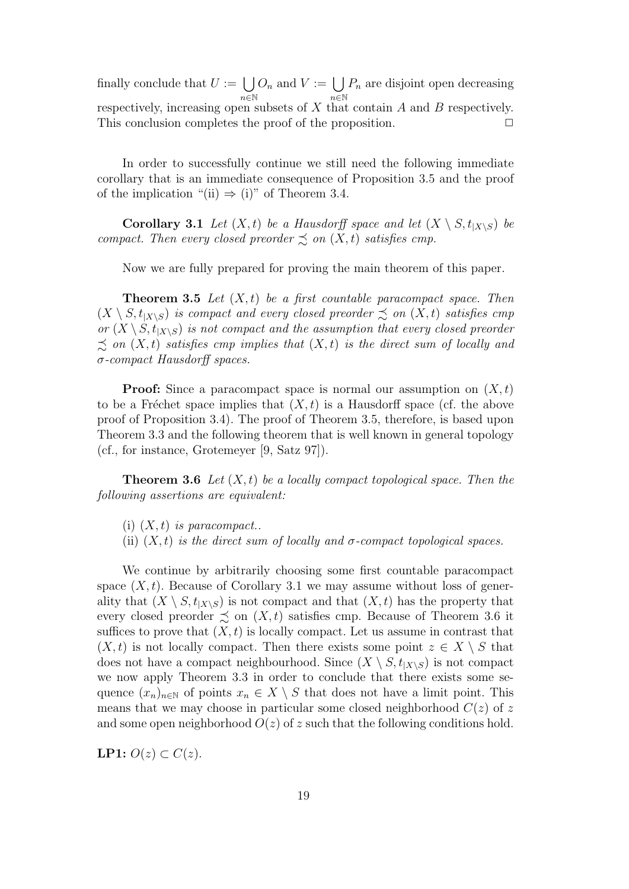finally conclude that  $U := \bigcup$ *n∈*N  $O_n$  and  $V := \bigcup$ *n∈*N *P<sup>n</sup>* are disjoint open decreasing respectively, increasing open subsets of *X* that contain *A* and *B* respectively. This conclusion completes the proof of the proposition. □

In order to successfully continue we still need the following immediate corollary that is an immediate consequence of Proposition 3.5 and the proof of the implication "(ii)  $\Rightarrow$  (i)" of Theorem 3.4.

**Corollary 3.1** *Let*  $(X, t)$  *be a Hausdorff space and let*  $(X \setminus S, t_{|X \setminus S})$  *be compact. Then every closed preorder*  $\precsim$  *on*  $(X, t)$  *satisfies cmp.* 

Now we are fully prepared for proving the main theorem of this paper.

**Theorem 3.5** *Let* (*X, t*) *be a first countable paracompact space. Then*  $(X \setminus S, t_{|X \setminus S})$  *is compact and every closed preorder*  $\precsim$  *on*  $(X, t)$  *satisfies cmp*  $or$   $(X \setminus S, t_{X \setminus S})$  *is not compact and the assumption that every closed preorder*  $\leq$  *on*  $(X, t)$  *satisfies cmp implies that*  $(X, t)$  *is the direct sum of locally and σ-compact Hausdorff spaces.*

**Proof:** Since a paracompact space is normal our assumption on (*X, t*) to be a Fréchet space implies that  $(X, t)$  is a Hausdorff space (cf. the above proof of Proposition 3.4). The proof of Theorem 3.5, therefore, is based upon Theorem 3.3 and the following theorem that is well known in general topology (cf., for instance, Grotemeyer [9, Satz 97]).

**Theorem 3.6** *Let* (*X, t*) *be a locally compact topological space. Then the following assertions are equivalent:*

(i) (*X, t*) *is paracompact..*

(ii)  $(X, t)$  *is the direct sum of locally and*  $\sigma$ -compact topological spaces.

We continue by arbitrarily choosing some first countable paracompact space  $(X, t)$ . Because of Corollary 3.1 we may assume without loss of generality that  $(X \setminus S, t_{|X \setminus S})$  is not compact and that  $(X, t)$  has the property that every closed preorder  $\precsim$  on  $(X, t)$  satisfies cmp. Because of Theorem 3.6 it suffices to prove that  $(X, t)$  is locally compact. Let us assume in contrast that  $(X, t)$  is not locally compact. Then there exists some point  $z \in X \setminus S$  that does not have a compact neighbourhood. Since  $(X \setminus S, t_{|X \setminus S})$  is not compact we now apply Theorem 3.3 in order to conclude that there exists some sequence  $(x_n)_{n\in\mathbb{N}}$  of points  $x_n \in X \setminus S$  that does not have a limit point. This means that we may choose in particular some closed neighborhood  $C(z)$  of z and some open neighborhood  $O(z)$  of z such that the following conditions hold.

**LP1:**  $O(z)$  ⊂  $C(z)$ .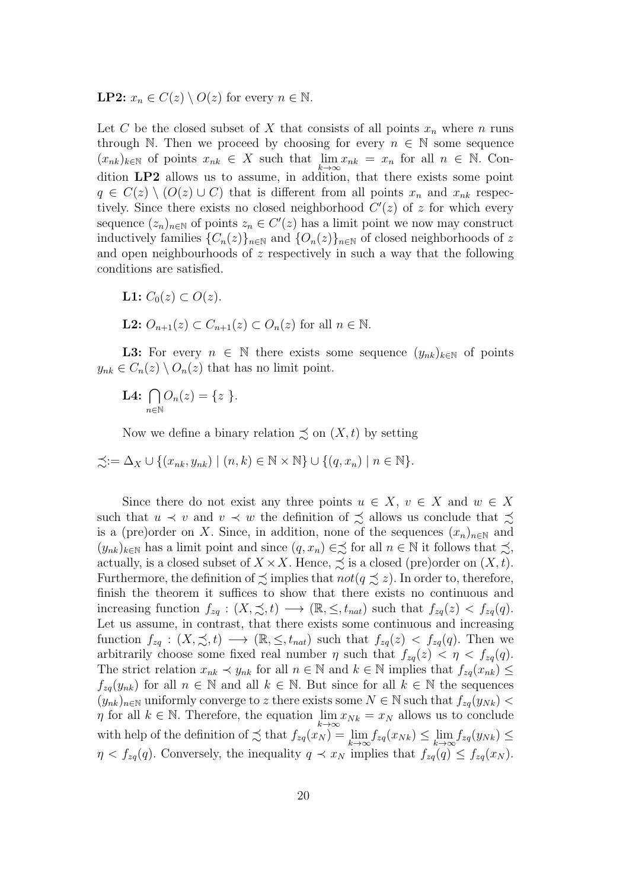## **LP2:**  $x_n \in C(z) \setminus O(z)$  for every  $n \in \mathbb{N}$ .

Let *C* be the closed subset of *X* that consists of all points  $x_n$  where *n* runs through N. Then we proceed by choosing for every  $n \in \mathbb{N}$  some sequence  $(x_{nk})_{k \in \mathbb{N}}$  of points  $x_{nk} \in X$  such that  $\lim_{k \to \infty} x_{nk} = x_n$  for all  $n \in \mathbb{N}$ . Condition **LP2** allows us to assume, in addition, that there exists some point  $q \in C(z) \setminus (O(z) \cup C)$  that is different from all points  $x_n$  and  $x_{nk}$  respectively. Since there exists no closed neighborhood  $C'(z)$  of *z* for which every sequence  $(z_n)_{n \in \mathbb{N}}$  of points  $z_n \in C'(z)$  has a limit point we now may construct inductively families  ${C_n(z)}_{n \in \mathbb{N}}$  and  ${O_n(z)}_{n \in \mathbb{N}}$  of closed neighborhoods of *z* and open neighbourhoods of *z* respectively in such a way that the following conditions are satisfied.

**L1:**  $C_0(z)$  ⊂  $O(z)$ . **L2:**  $O_{n+1}(z) \subset C_{n+1}(z) \subset O_n(z)$  for all  $n \in \mathbb{N}$ .

**L3:** For every  $n \in \mathbb{N}$  there exists some sequence  $(y_{nk})_{k \in \mathbb{N}}$  of points  $y_{nk} \in C_n(z) \setminus O_n(z)$  that has no limit point.

**L4:** 
$$
\bigcap_{n\in\mathbb{N}}O_n(z)=\{z\}
$$
.

Now we define a binary relation  $\preceq$  on  $(X, t)$  by setting

$$
\preceq := \Delta_X \cup \{ (x_{nk}, y_{nk}) \mid (n, k) \in \mathbb{N} \times \mathbb{N} \} \cup \{ (q, x_n) \mid n \in \mathbb{N} \}.
$$

Since there do not exist any three points  $u \in X$ ,  $v \in X$  and  $w \in X$ such that  $u \prec v$  and  $v \prec w$  the definition of  $\precsim$  allows us conclude that  $\precsim$ is a (pre)order on *X*. Since, in addition, none of the sequences  $(x_n)_{n\in\mathbb{N}}$  and  $(y_{nk})_{k\in\mathbb{N}}$  has a limit point and since  $(q, x_n) \in \leq$  for all  $n \in \mathbb{N}$  it follows that  $\leq$ , actually, is a closed subset of  $X \times X$ . Hence,  $\precsim$  is a closed (pre)order on  $(X, t)$ . Furthermore, the definition of  $\precsim$  implies that  $not(q \precsim z)$ . In order to, therefore, finish the theorem it suffices to show that there exists no continuous and increasing function  $f_{zq}: (X, \preceq, t) \longrightarrow (\mathbb{R}, \leq, t_{nat})$  such that  $f_{zq}(z) < f_{zq}(q)$ . Let us assume, in contrast, that there exists some continuous and increasing function  $f_{zq}: (X, \preceq, t) \longrightarrow (\mathbb{R}, \leq, t_{nat})$  such that  $f_{zq}(z) < f_{zq}(q)$ . Then we arbitrarily choose some fixed real number  $\eta$  such that  $f_{zq}(z) < \eta < f_{zq}(q)$ . The strict relation  $x_{nk} \prec y_{nk}$  for all  $n \in \mathbb{N}$  and  $k \in \mathbb{N}$  implies that  $f_{zq}(x_{nk}) \leq$  $f_{zq}(y_{nk})$  for all  $n \in \mathbb{N}$  and all  $k \in \mathbb{N}$ . But since for all  $k \in \mathbb{N}$  the sequences  $(y_{nk})_{n\in\mathbb{N}}$  uniformly converge to *z* there exists some  $N \in \mathbb{N}$  such that  $f_{zq}(y_{Nk})$ *η* for all  $k \in \mathbb{N}$ . Therefore, the equation  $\lim_{k \to \infty} x_{Nk} = x_N$  allows us to conclude with help of the definition of  $\precsim$  that  $f_{zq}(x_N) = \lim_{k \to \infty} f_{zq}(x_{Nk}) \leq \lim_{k \to \infty} f_{zq}(x_N)$ *k→∞*  $f_{zq}(y_{Nk}) \leq$  $\eta < f_{zq}(q)$ . Conversely, the inequality  $q \prec x_N$  implies that  $f_{zq}(q) \leq f_{zq}(x_N)$ .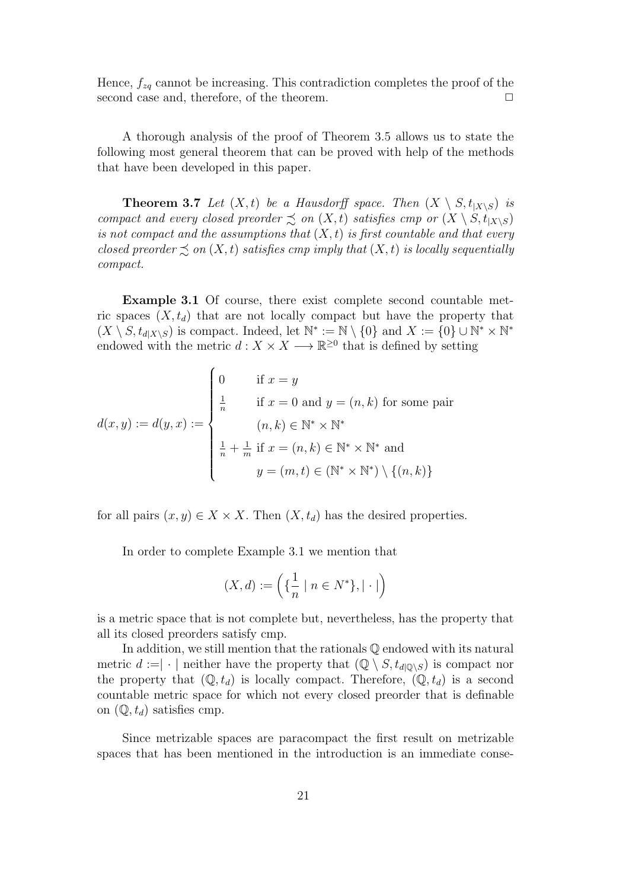Hence, *fzq* cannot be increasing. This contradiction completes the proof of the second case and, therefore, of the theorem.  $\Box$ 

A thorough analysis of the proof of Theorem 3.5 allows us to state the following most general theorem that can be proved with help of the methods that have been developed in this paper.

**Theorem 3.7** *Let*  $(X, t)$  *be a Hausdorff space. Then*  $(X \setminus S, t_{|X \setminus S})$  *is compact and every closed preorder*  $\precsim$  *on*  $(X, t)$  *satisfies cmp or*  $(X \setminus S, t_{|X \setminus S})$ *is not compact and the assumptions that* (*X, t*) *is first countable and that every closed preorder*  $\preceq$  *on*  $(X, t)$  *satisfies cmp imply that*  $(X, t)$  *is locally sequentially compact.*

**Example 3.1** Of course, there exist complete second countable metric spaces  $(X, t_d)$  that are not locally compact but have the property that  $(X \setminus S, t_{d|X \setminus S})$  is compact. Indeed, let  $\mathbb{N}^* := \mathbb{N} \setminus \{0\}$  and  $X := \{0\} \cup \mathbb{N}^* \times \mathbb{N}^*$ endowed with the metric  $d: X \times X \longrightarrow \mathbb{R}^{\geq 0}$  that is defined by setting

$$
d(x,y) := d(y,x) := \begin{cases} 0 & \text{if } x = y \\ \frac{1}{n} & \text{if } x = 0 \text{ and } y = (n,k) \text{ for some pair} \\ (n,k) \in \mathbb{N}^* \times \mathbb{N}^* \\ \frac{1}{n} + \frac{1}{m} \text{ if } x = (n,k) \in \mathbb{N}^* \times \mathbb{N}^* \text{ and} \\ y = (m,t) \in (\mathbb{N}^* \times \mathbb{N}^*) \setminus \{(n,k)\} \end{cases}
$$

for all pairs  $(x, y) \in X \times X$ . Then  $(X, t_d)$  has the desired properties.

In order to complete Example 3.1 we mention that

$$
(X,d):=\left(\{\frac{1}{n}\mid n\in N^*\},|\cdot|\right)
$$

is a metric space that is not complete but, nevertheless, has the property that all its closed preorders satisfy cmp.

In addition, we still mention that the rationals Q endowed with its natural metric  $d := | \cdot |$  neither have the property that  $(\mathbb{Q} \setminus S, t_{d | \mathbb{Q} \setminus S})$  is compact nor the property that  $(\mathbb{Q}, t_d)$  is locally compact. Therefore,  $(\mathbb{Q}, t_d)$  is a second countable metric space for which not every closed preorder that is definable on  $(\mathbb{Q}, t_d)$  satisfies cmp.

Since metrizable spaces are paracompact the first result on metrizable spaces that has been mentioned in the introduction is an immediate conse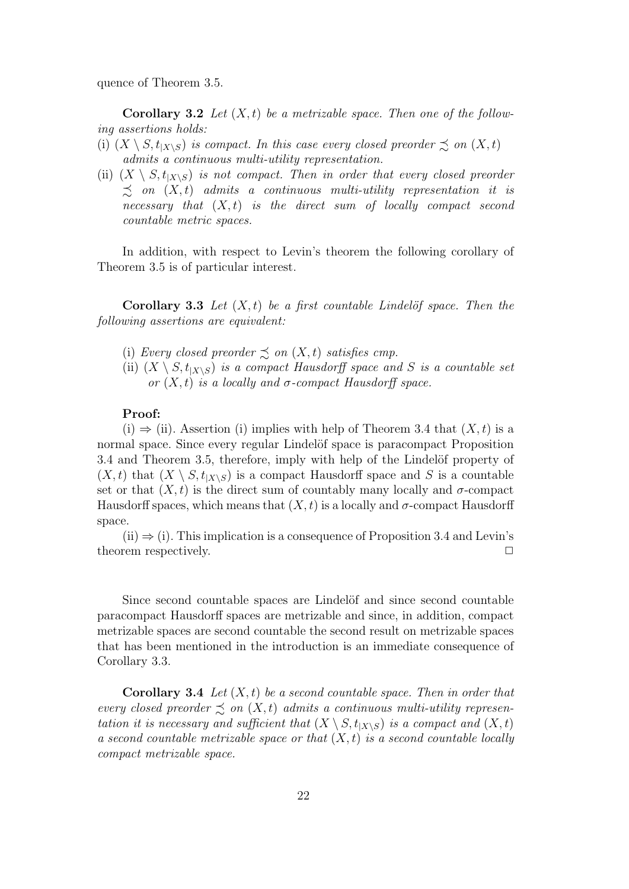quence of Theorem 3.5.

**Corollary 3.2** *Let* (*X, t*) *be a metrizable space. Then one of the following assertions holds:*

- (i)  $(X \setminus S, t_{|X \setminus S})$  *is compact. In this case every closed preorder*  $\preceq$  *on*  $(X, t)$ *admits a continuous multi-utility representation.*
- (ii)  $(X \setminus S, t_{|X \setminus S})$  *is not compact. Then in order that every closed preorder*  $\leq$  *on*  $(X, t)$  *admits a continuous multi-utility representation it is necessary that* (*X, t*) *is the direct sum of locally compact second countable metric spaces.*

In addition, with respect to Levin's theorem the following corollary of Theorem 3.5 is of particular interest.

**Corollary 3.3** *Let*  $(X, t)$  *be a first countable Lindelöf space. Then the following assertions are equivalent:*

- (i) *Every closed preorder*  $\precsim$  *on*  $(X, t)$  *satisfies cmp.*
- (ii)  $(X \setminus S, t_{[X \setminus S]} )$  *is a compact Hausdorff space and S is a countable set or*  $(X, t)$  *is a locally and*  $\sigma$ *-compact Hausdorff space.*

### **Proof:**

(i) *⇒* (ii). Assertion (i) implies with help of Theorem 3.4 that (*X, t*) is a normal space. Since every regular Lindelöf space is paracompact Proposition 3.4 and Theorem 3.5, therefore, imply with help of the Lindelöf property of  $(X, t)$  that  $(X \setminus S, t_{X \setminus S})$  is a compact Hausdorff space and S is a countable set or that  $(X, t)$  is the direct sum of countably many locally and  $\sigma$ -compact Hausdorff spaces, which means that  $(X, t)$  is a locally and  $\sigma$ -compact Hausdorff space.

 $(ii) \Rightarrow (i)$ . This implication is a consequence of Proposition 3.4 and Levin's theorem respectively. **□** 

Since second countable spaces are Lindelöf and since second countable paracompact Hausdorff spaces are metrizable and since, in addition, compact metrizable spaces are second countable the second result on metrizable spaces that has been mentioned in the introduction is an immediate consequence of Corollary 3.3.

**Corollary 3.4** *Let* (*X, t*) *be a second countable space. Then in order that every closed preorder*  $\leq$  *on*  $(X, t)$  *admits a continuous multi-utility representation it is necessary and sufficient that*  $(X \setminus S, t_{|X \setminus S})$  *is a compact and*  $(X, t)$ *a second countable metrizable space or that* (*X, t*) *is a second countable locally compact metrizable space.*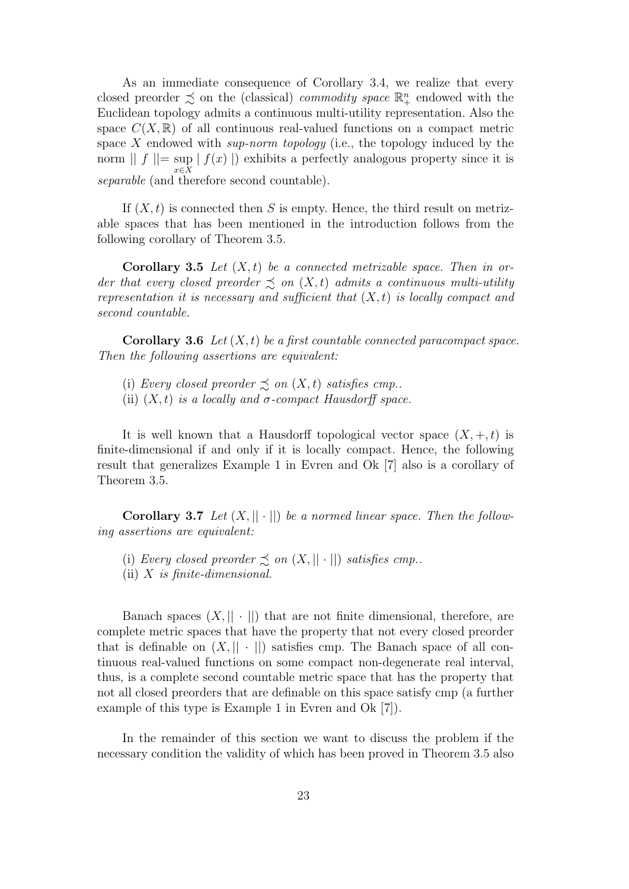As an immediate consequence of Corollary 3.4, we realize that every closed preorder  $\precsim$  on the (classical) *commodity space*  $\mathbb{R}^n_+$  endowed with the Euclidean topology admits a continuous multi-utility representation. Also the space  $C(X,\mathbb{R})$  of all continuous real-valued functions on a compact metric space *X* endowed with *sup-norm topology* (i.e., the topology induced by the norm  $|| f || = \sup$ *x∈X | f*(*x*) *|*) exhibits a perfectly analogous property since it is *separable* (and therefore second countable).

If  $(X, t)$  is connected then *S* is empty. Hence, the third result on metrizable spaces that has been mentioned in the introduction follows from the following corollary of Theorem 3.5.

**Corollary 3.5** *Let* (*X, t*) *be a connected metrizable space. Then in order that every closed preorder*  $\leq$  *on*  $(X,t)$  *admits a continuous multi-utility representation it is necessary and sufficient that* (*X, t*) *is locally compact and second countable.*

**Corollary 3.6** *Let* (*X, t*) *be a first countable connected paracompact space. Then the following assertions are equivalent:*

- (i) *Every closed preorder*  $\precsim$  *on*  $(X, t)$  *satisfies cmp..*
- (ii)  $(X, t)$  *is a locally and*  $\sigma$ -compact Hausdorff space.

It is well known that a Hausdorff topological vector space  $(X, +, t)$  is finite-dimensional if and only if it is locally compact. Hence, the following result that generalizes Example 1 in Evren and Ok [7] also is a corollary of Theorem 3.5.

**Corollary 3.7** *Let*  $(X, || \cdot ||)$  *be a normed linear space. Then the following assertions are equivalent:*

- (i) *Every closed preorder*  $\precsim$  *on*  $(X, || \cdot ||)$  *satisfies cmp..*
- (ii) *X is finite-dimensional.*

Banach spaces  $(X, || \cdot ||)$  that are not finite dimensional, therefore, are complete metric spaces that have the property that not every closed preorder that is definable on  $(X, || \cdot ||)$  satisfies cmp. The Banach space of all continuous real-valued functions on some compact non-degenerate real interval, thus, is a complete second countable metric space that has the property that not all closed preorders that are definable on this space satisfy cmp (a further example of this type is Example 1 in Evren and Ok [7]).

In the remainder of this section we want to discuss the problem if the necessary condition the validity of which has been proved in Theorem 3.5 also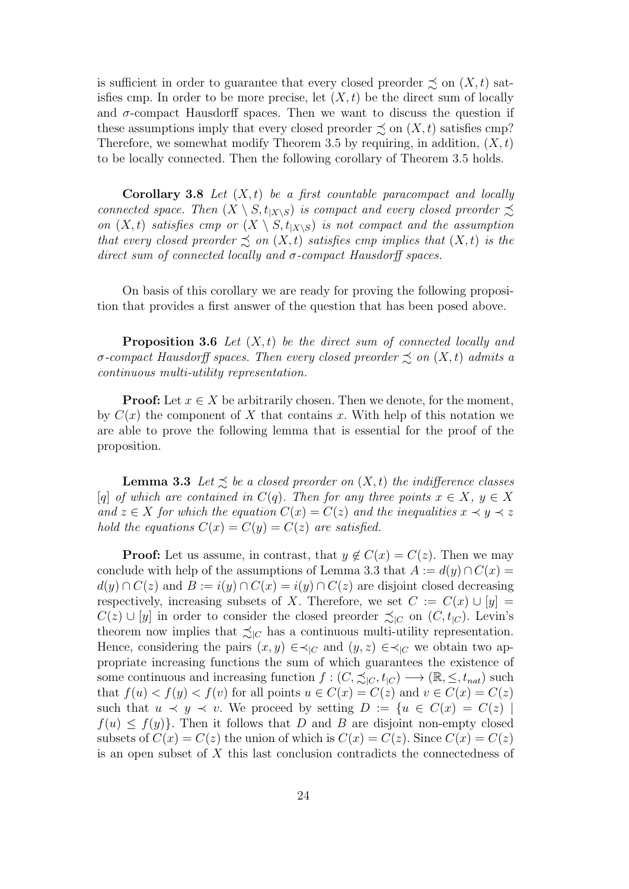is sufficient in order to guarantee that every closed preorder  $\precsim$  on  $(X, t)$  satisfies cmp. In order to be more precise, let  $(X, t)$  be the direct sum of locally and  $\sigma$ -compact Hausdorff spaces. Then we want to discuss the question if these assumptions imply that every closed preorder  $\precsim$  on  $(X, t)$  satisfies cmp? Therefore, we somewhat modify Theorem 3.5 by requiring, in addition,  $(X, t)$ to be locally connected. Then the following corollary of Theorem 3.5 holds.

**Corollary 3.8** *Let* (*X, t*) *be a first countable paracompact and locally connected space. Then*  $(X \setminus S, t_{|X \setminus S})$  *is compact and every closed preorder*  $\precsim$ *on*  $(X, t)$  *satisfies cmp or*  $(X \setminus S, t_{|X \setminus S})$  *is not compact and the assumption that every closed preorder*  $\leq$  *on*  $(X,t)$  *satisfies cmp implies that*  $(X,t)$  *is the direct sum of connected locally and σ-compact Hausdorff spaces.*

On basis of this corollary we are ready for proving the following proposition that provides a first answer of the question that has been posed above.

**Proposition 3.6** *Let* (*X, t*) *be the direct sum of connected locally and σ*-compact Hausdorff spaces. Then every closed preorder  $\precsim$  on  $(X, t)$  admits a *continuous multi-utility representation.*

**Proof:** Let  $x \in X$  be arbitrarily chosen. Then we denote, for the moment, by  $C(x)$  the component of X that contains x. With help of this notation we are able to prove the following lemma that is essential for the proof of the proposition.

**Lemma 3.3** Let  $\leq$  be a closed preorder on  $(X, t)$  the indifference classes  $[q]$  *of which are contained in*  $C(q)$ *. Then for any three points*  $x \in X$ *,*  $y \in X$ *and*  $z \in X$  *for which the equation*  $C(x) = C(z)$  *and the inequalities*  $x \prec y \prec z$ *hold the equations*  $C(x) = C(y) = C(z)$  *are satisfied.* 

**Proof:** Let us assume, in contrast, that  $y \notin C(x) = C(z)$ . Then we may conclude with help of the assumptions of Lemma 3.3 that  $A := d(y) \cap C(x) =$ *d*(*y*) ∩ *C*(*z*) and *B* := *i*(*y*) ∩ *C*(*x*) = *i*(*y*) ∩ *C*(*z*) are disjoint closed decreasing respectively, increasing subsets of *X*. Therefore, we set  $C := C(x) \cup [y] =$ *C*(*z*) ∪ [*y*] in order to consider the closed preorder  $\precsim$ <sub>*IC*</sub> on (*C*, *t*<sub>*IC*</sub>). Levin's theorem now implies that  $\precsim_{|C}$  has a continuous multi-utility representation. Hence, considering the pairs  $(x, y) \in \prec_{|C}$  and  $(y, z) \in \prec_{|C}$  we obtain two appropriate increasing functions the sum of which guarantees the existence of some continuous and increasing function  $f : (C, \preceq_{|C}, t_{|C}) \longrightarrow (\mathbb{R}, \leq, t_{nat})$  such that  $f(u) < f(y) < f(v)$  for all points  $u \in C(x) = C(z)$  and  $v \in C(x) = C(z)$ such that  $u \prec y \prec v$ . We proceed by setting  $D := \{u \in C(x) = C(z) \mid$  $f(u) \leq f(y)$ . Then it follows that *D* and *B* are disjoint non-empty closed subsets of  $C(x) = C(z)$  the union of which is  $C(x) = C(z)$ . Since  $C(x) = C(z)$ is an open subset of *X* this last conclusion contradicts the connectedness of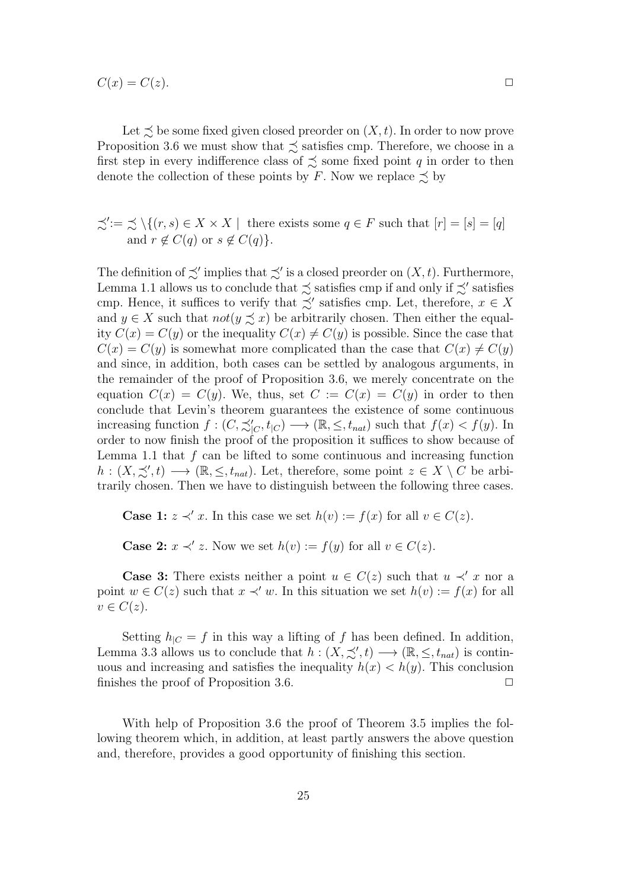$$
C(x) = C(z). \qquad \qquad \Box
$$

Let  $\precsim$  be some fixed given closed preorder on  $(X, t)$ . In order to now prove Proposition 3.6 we must show that  $\precsim$  satisfies cmp. Therefore, we choose in a first step in every indifference class of  $\preceq$  some fixed point *q* in order to then denote the collection of these points by *F*. Now we replace  $\precsim$  by

$$
\preceq' := \preceq \setminus \{(r, s) \in X \times X \mid \text{ there exists some } q \in F \text{ such that } [r] = [s] = [q] \text{ and } r \notin C(q) \text{ or } s \notin C(q)\}.
$$

The definition of  $\precsim'$  implies that  $\precsim'$  is a closed preorder on  $(X, t)$ . Furthermore, Lemma 1.1 allows us to conclude that  $\precsim$  satisfies cmp if and only if  $\precsim'$  satisfies cmp. Hence, it suffices to verify that  $\precsim'$  satisfies cmp. Let, therefore,  $x \in X$ and  $y \in X$  such that  $not(y \preceq x)$  be arbitrarily chosen. Then either the equality  $C(x) = C(y)$  or the inequality  $C(x) \neq C(y)$  is possible. Since the case that  $C(x) = C(y)$  is somewhat more complicated than the case that  $C(x) \neq C(y)$ and since, in addition, both cases can be settled by analogous arguments, in the remainder of the proof of Proposition 3.6, we merely concentrate on the equation  $C(x) = C(y)$ . We, thus, set  $C := C(x) = C(y)$  in order to then conclude that Levin's theorem guarantees the existence of some continuous increasing function  $f : (C, \precsim'_{[C}, t_{[C)}) \longrightarrow (\mathbb{R}, \leq, t_{nat})$  such that  $f(x) < f(y)$ . In order to now finish the proof of the proposition it suffices to show because of Lemma 1.1 that *f* can be lifted to some continuous and increasing function  $h: (X, \preceq', t) \longrightarrow (\mathbb{R}, \leq, t_{nat})$ . Let, therefore, some point  $z \in X \setminus C$  be arbitrarily chosen. Then we have to distinguish between the following three cases.

**Case 1:**  $z \prec' x$ . In this case we set  $h(v) := f(x)$  for all  $v \in C(z)$ .

**Case 2:**  $x \prec' z$ . Now we set  $h(v) := f(y)$  for all  $v \in C(z)$ .

**Case 3:** There exists neither a point  $u \in C(z)$  such that  $u \prec' x$  nor a point  $w \in C(z)$  such that  $x \prec' w$ . In this situation we set  $h(v) := f(x)$  for all  $v \in C(z)$ .

Setting  $h_{\text{C}} = f$  in this way a lifting of f has been defined. In addition, Lemma 3.3 allows us to conclude that  $h : (X, \preceq', t) \longrightarrow (\mathbb{R}, \leq, t_{nat})$  is continuous and increasing and satisfies the inequality  $h(x) < h(y)$ . This conclusion finishes the proof of Proposition 3.6.  $\Box$ 

With help of Proposition 3.6 the proof of Theorem 3.5 implies the following theorem which, in addition, at least partly answers the above question and, therefore, provides a good opportunity of finishing this section.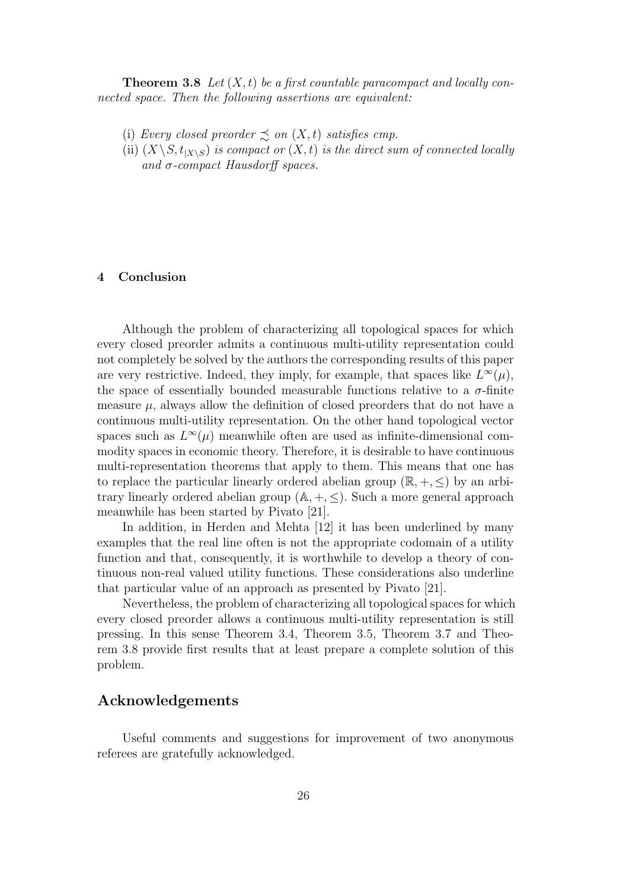**Theorem 3.8** Let  $(X, t)$  be a first countable paracompact and locally con*nected space. Then the following assertions are equivalent:*

- (i) *Every closed preorder*  $\precsim$  *on*  $(X, t)$  *satisfies cmp.*
- (ii)  $(X \setminus S, t_{|X \setminus S})$  *is compact or*  $(X, t)$  *is the direct sum of connected locally and σ-compact Hausdorff spaces.*

#### **4 Conclusion**

Although the problem of characterizing all topological spaces for which every closed preorder admits a continuous multi-utility representation could not completely be solved by the authors the corresponding results of this paper are very restrictive. Indeed, they imply, for example, that spaces like  $L^{\infty}(\mu)$ , the space of essentially bounded measurable functions relative to a  $\sigma$ -finite measure  $\mu$ , always allow the definition of closed preorders that do not have a continuous multi-utility representation. On the other hand topological vector spaces such as  $L^{\infty}(\mu)$  meanwhile often are used as infinite-dimensional commodity spaces in economic theory. Therefore, it is desirable to have continuous multi-representation theorems that apply to them. This means that one has to replace the particular linearly ordered abelian group  $(\mathbb{R}, +, \leq)$  by an arbitrary linearly ordered abelian group (A*,* +*, ≤*). Such a more general approach meanwhile has been started by Pivato [21].

In addition, in Herden and Mehta [12] it has been underlined by many examples that the real line often is not the appropriate codomain of a utility function and that, consequently, it is worthwhile to develop a theory of continuous non-real valued utility functions. These considerations also underline that particular value of an approach as presented by Pivato [21].

Nevertheless, the problem of characterizing all topological spaces for which every closed preorder allows a continuous multi-utility representation is still pressing. In this sense Theorem 3.4, Theorem 3.5, Theorem 3.7 and Theorem 3.8 provide first results that at least prepare a complete solution of this problem.

# **Acknowledgements**

Useful comments and suggestions for improvement of two anonymous referees are gratefully acknowledged.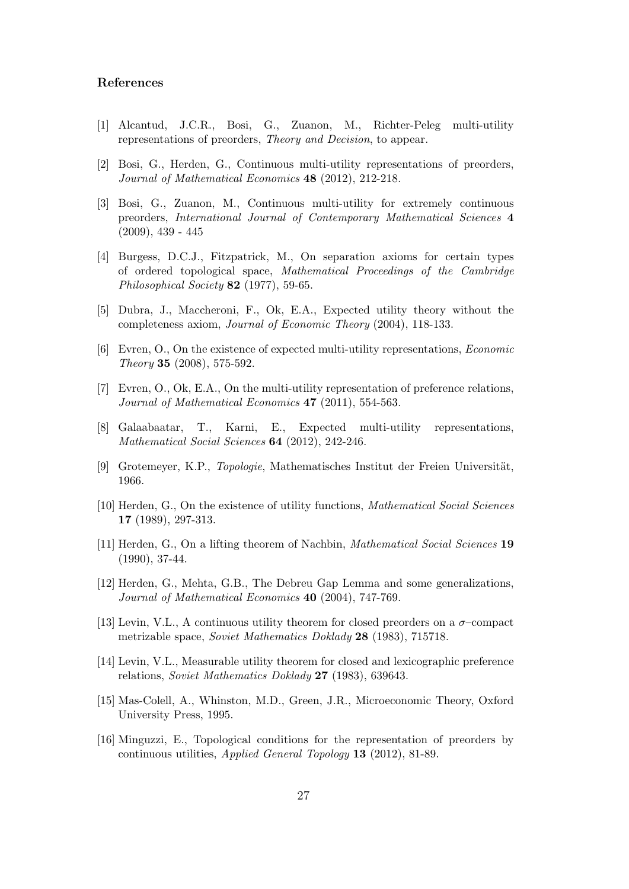#### **References**

- [1] Alcantud, J.C.R., Bosi, G., Zuanon, M., Richter-Peleg multi-utility representations of preorders, *Theory and Decision*, to appear.
- [2] Bosi, G., Herden, G., Continuous multi-utility representations of preorders, *Journal of Mathematical Economics* **48** (2012), 212-218.
- [3] Bosi, G., Zuanon, M., Continuous multi-utility for extremely continuous preorders, *International Journal of Contemporary Mathematical Sciences* **4**  $(2009), 439 - 445$
- [4] Burgess, D.C.J., Fitzpatrick, M., On separation axioms for certain types of ordered topological space, *Mathematical Proceedings of the Cambridge Philosophical Society* **82** (1977), 59-65.
- [5] Dubra, J., Maccheroni, F., Ok, E.A., Expected utility theory without the completeness axiom, *Journal of Economic Theory* (2004), 118-133.
- [6] Evren, O., On the existence of expected multi-utility representations, *Economic Theory* **35** (2008), 575-592.
- [7] Evren, O., Ok, E.A., On the multi-utility representation of preference relations, *Journal of Mathematical Economics* **47** (2011), 554-563.
- [8] Galaabaatar, T., Karni, E., Expected multi-utility representations, *Mathematical Social Sciences* **64** (2012), 242-246.
- [9] Grotemeyer, K.P., *Topologie*, Mathematisches Institut der Freien Universität, 1966.
- [10] Herden, G., On the existence of utility functions, *Mathematical Social Sciences* **17** (1989), 297-313.
- [11] Herden, G., On a lifting theorem of Nachbin, *Mathematical Social Sciences* **19** (1990), 37-44.
- [12] Herden, G., Mehta, G.B., The Debreu Gap Lemma and some generalizations, *Journal of Mathematical Economics* **40** (2004), 747-769.
- [13] Levin, V.L., A continuous utility theorem for closed preorders on a  $\sigma$ -compact metrizable space, *Soviet Mathematics Doklady* **28** (1983), 715718.
- [14] Levin, V.L., Measurable utility theorem for closed and lexicographic preference relations, *Soviet Mathematics Doklady* **27** (1983), 639643.
- [15] Mas-Colell, A., Whinston, M.D., Green, J.R., Microeconomic Theory, Oxford University Press, 1995.
- [16] Minguzzi, E., Topological conditions for the representation of preorders by continuous utilities, *Applied General Topology* **13** (2012), 81-89.